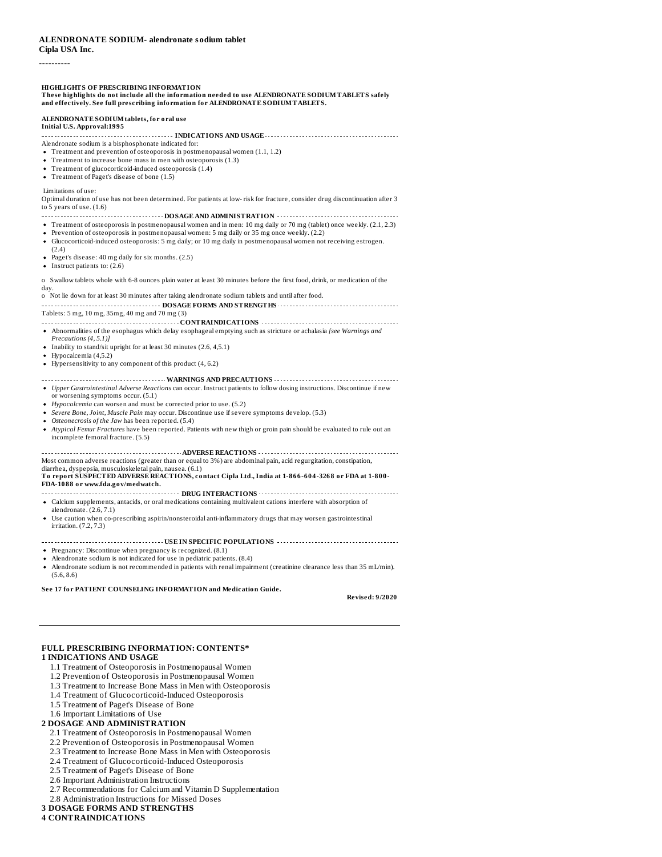# **Cipla USA Inc.**

----------

#### **HIGHLIGHTS OF PRESCRIBING INFORMATION**

#### **These highlights do not include all the information needed to use ALENDRONATE SODIUMTABLETS safely and effectively. See full prescribing information for ALENDRONATE SODIUMTABLETS.**

## **ALENDRONATE SODIUMtablets, for oral use**

#### **Initial U.S. Approval:1995**

**INDICATIONS AND USAGE**

Alendronate sodium is a bisphosphonate indicated for:

- Treatment and prevention of osteoporosis in postmenopausal women (1.1, 1.2)
- Treatment to increase bone mass in men with osteoporosis (1.3) Treatment of glucocorticoid-induced osteoporosis (1.4)
- Treatment of Paget's disease of bone (1.5)

#### Limitations of use:

Optimal duration of use has not been determined. For patients at low- risk for fracture, consider drug discontinuation after 3 to 5 years of use. (1.6)

#### **DOSAGE AND ADMINISTRATION**

- Treatment of osteoporosis in postmenopausal women and in men: 10 mg daily or 70 mg (tablet) once weekly. (2.1, 2.3)
- Prevention of osteoporosis in postmenopausal women: 5 mg daily or 35 mg once weekly. (2.2)
- Glucocorticoid-induced osteoporosis: 5 mg daily; or 10 mg daily in postmenopausal women not receiving estrogen.
- (2.4)
- Paget's disease: 40 mg daily for six months. (2.5)
- $\bullet$  Instruct patients to: (2.6)

o Swallow tablets whole with 6-8 ounces plain water at least 30 minutes before the first food, drink, or medication of the day.

#### o Not lie down for at least 30 minutes after taking alendronate sodium tablets and until after food.

**DOSAGE FORMS AND STRENGTHS CONFIDENTIES** *CONFIDENTIES* Tablets: 5 mg, 10 mg, 35mg, 40 mg and 70 mg (3)

- **CONTRAINDICATIONS**
- Abnormalities of the esophagus which delay esophageal emptying such as stricture or achalasia *[see Warnings and*
- *Precautions (4, 5.1)]*
- Inability to stand/sit upright for at least 30 minutes (2.6, 4,5.1) Hypocalcemia (4,5.2)
- Hypersensitivity to any component of this product (4, 6.2)

### **WARNINGS AND PRECAUTIONS** *Upper Gastrointestinal Adverse Reactions* can occur. Instruct patients to follow dosing instructions. Discontinue if new

- or worsening symptoms occur. (5.1)
- *Hypocalcemia* can worsen and must be corrected prior to use. (5.2)
- *Severe Bone, Joint, Muscle Pain* may occur. Discontinue use if severe symptoms develop. (5.3)
- *Osteonecrosis of the Jaw* has been reported. (5.4)
- *Atypical Femur Fractures* have been reported. Patients with new thigh or groin pain should be evaluated to rule out an incomplete femoral fracture. (5.5)

#### **ADVERSE REACTIONS** Most common adverse reactions (greater than or equal to 3%) are abdominal pain, acid regurgitation, constipation,

#### diarrhea, dyspepsia, musculoskeletal pain, nausea. (6.1) **To report SUSPECTED ADVERSE REACTIONS, contact Cipla Ltd., India at 1-866-604-3268 or FDA at 1-800- FDA-1088 or www.fda.gov/medwatch.**

- **DRUG INTERACTIONS CONSERVATIONS CONSTRUSTIONS**
- Calcium supplements, antacids, or oral medications containing multivalent cations interfere with absorption of alendronate. (2.6, 7.1)
- Use caution when co-prescribing aspirin/nonsteroidal anti-inflammatory drugs that may worsen gastrointestinal irritation. (7.2, 7.3)

### **USE IN SPECIFIC POPULATIONS**

- Pregnancy: Discontinue when pregnancy is recognized. (8.1)
- Alendronate sodium is not indicated for use in pediatric patients. (8.4)
- Alendronate sodium is not recommended in patients with renal impairment (creatinine clearance less than 35 mL/min). (5.6, 8.6)

#### **See 17 for PATIENT COUNSELING INFORMATION and Medication Guide.**

**Revised: 9/2020**

## **FULL PRESCRIBING INFORMATION: CONTENTS\* 1 INDICATIONS AND USAGE**

- 1.1 Treatment of Osteoporosis in Postmenopausal Women
- 1.2 Prevention of Osteoporosis in Postmenopausal Women
- 1.3 Treatment to Increase Bone Mass in Men with Osteoporosis
- 1.4 Treatment of Glucocorticoid-Induced Osteoporosis
- 1.5 Treatment of Paget's Disease of Bone
- 1.6 Important Limitations of Use

### **2 DOSAGE AND ADMINISTRATION**

- 2.1 Treatment of Osteoporosis in Postmenopausal Women
- 2.2 Prevention of Osteoporosis in Postmenopausal Women
- 2.3 Treatment to Increase Bone Mass in Men with Osteoporosis
- 2.4 Treatment of Glucocorticoid-Induced Osteoporosis
- 2.5 Treatment of Paget's Disease of Bone
- 2.6 Important Administration Instructions
- 2.7 Recommendations for Calcium and Vitamin D Supplementation
- 2.8 Administration Instructions for Missed Doses
- **3 DOSAGE FORMS AND STRENGTHS**

## **4 CONTRAINDICATIONS**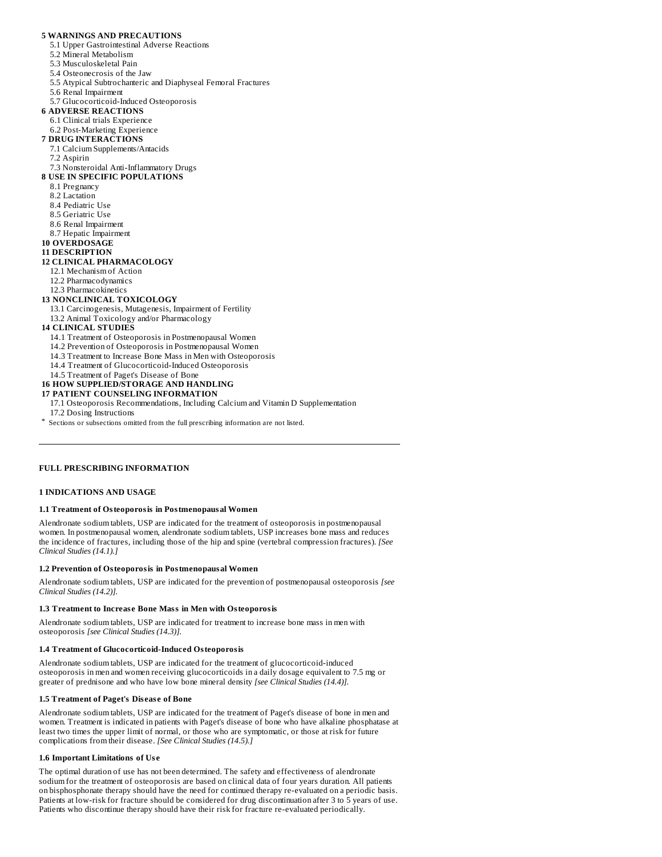## **5 WARNINGS AND PRECAUTIONS**

- 5.1 Upper Gastrointestinal Adverse Reactions
- 5.2 Mineral Metabolism
- 5.3 Musculoskeletal Pain
- 5.4 Osteonecrosis of the Jaw
- 
- 5.5 Atypical Subtrochanteric and Diaphyseal Femoral Fractures
- 5.6 Renal Impairment
- 5.7 Glucocorticoid-Induced Osteoporosis
- **6 ADVERSE REACTIONS**
- 6.1 Clinical trials Experience
- 6.2 Post-Marketing Experience **7 DRUG INTERACTIONS**
- 7.1 Calcium Supplements/Antacids
- 7.2 Aspirin
- 7.3 Nonsteroidal Anti-Inflammatory Drugs
- **8 USE IN SPECIFIC POPULATIONS**
	- 8.1 Pregnancy
	- 8.2 Lactation
- 8.4 Pediatric Use
- 8.5 Geriatric Use
- 8.6 Renal Impairment
- 8.7 Hepatic Impairment
- **10 OVERDOSAGE**

### **11 DESCRIPTION**

## **12 CLINICAL PHARMACOLOGY**

- 12.1 Mechanism of Action 12.2 Pharmacodynamics
- 12.3 Pharmacokinetics

## **13 NONCLINICAL TOXICOLOGY**

- 13.1 Carcinogenesis, Mutagenesis, Impairment of Fertility
- 13.2 Animal Toxicology and/or Pharmacology

### **14 CLINICAL STUDIES**

- 14.1 Treatment of Osteoporosis in Postmenopausal Women
- 14.2 Prevention of Osteoporosis in Postmenopausal Women
- 14.3 Treatment to Increase Bone Mass in Men with Osteoporosis
- 14.4 Treatment of Glucocorticoid-Induced Osteoporosis
- 14.5 Treatment of Paget's Disease of Bone
- **16 HOW SUPPLIED/STORAGE AND HANDLING**

### **17 PATIENT COUNSELING INFORMATION**

- 17.1 Osteoporosis Recommendations, Including Calcium and Vitamin D Supplementation
- 17.2 Dosing Instructions
- \* Sections or subsections omitted from the full prescribing information are not listed.

#### **FULL PRESCRIBING INFORMATION**

### **1 INDICATIONS AND USAGE**

#### **1.1 Treatment of Osteoporosis in Postmenopausal Women**

Alendronate sodium tablets, USP are indicated for the treatment of osteoporosis in postmenopausal women. In postmenopausal women, alendronate sodium tablets, USP increases bone mass and reduces the incidence of fractures, including those of the hip and spine (vertebral compression fractures). *[See Clinical Studies (14.1).]*

#### **1.2 Prevention of Osteoporosis in Postmenopausal Women**

Alendronate sodium tablets, USP are indicated for the prevention of postmenopausal osteoporosis *[see Clinical Studies (14.2)].*

#### **1.3 Treatment to Increas e Bone Mass in Men with Osteoporosis**

Alendronate sodium tablets, USP are indicated for treatment to increase bone mass in men with osteoporosis *[see Clinical Studies (14.3)].*

## **1.4 Treatment of Glucocorticoid-Induced Osteoporosis**

Alendronate sodium tablets, USP are indicated for the treatment of glucocorticoid-induced osteoporosis in men and women receiving glucocorticoids in a daily dosage equivalent to 7.5 mg or greater of prednisone and who have low bone mineral density *[see Clinical Studies (14.4)].*

#### **1.5 Treatment of Paget's Dis eas e of Bone**

Alendronate sodium tablets, USP are indicated for the treatment of Paget's disease of bone in men and women. Treatment is indicated in patients with Paget's disease of bone who have alkaline phosphatase at least two times the upper limit of normal, or those who are symptomatic, or those at risk for future complications from their disease. *[See Clinical Studies (14.5).]*

#### **1.6 Important Limitations of Us e**

The optimal duration of use has not been determined. The safety and effectiveness of alendronate sodium for the treatment of osteoporosis are based on clinical data of four years duration. All patients on bisphosphonate therapy should have the need for continued therapy re-evaluated on a periodic basis. Patients at low-risk for fracture should be considered for drug discontinuation after 3 to 5 years of use. Patients who discontinue therapy should have their risk for fracture re-evaluated periodically.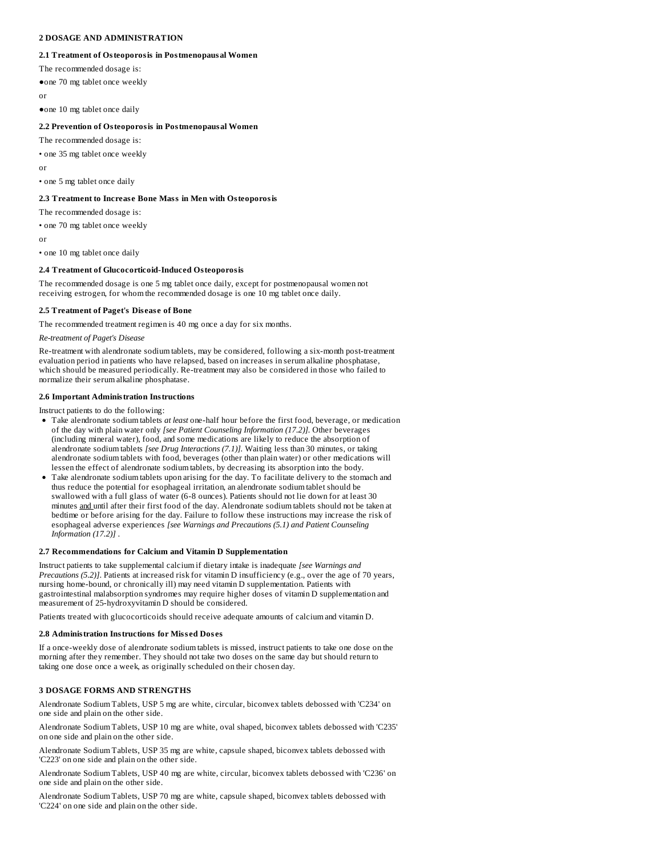## **2 DOSAGE AND ADMINISTRATION**

### **2.1 Treatment of Osteoporosis in Postmenopausal Women**

The recommended dosage is:

●one 70 mg tablet once weekly

or

●one 10 mg tablet once daily

## **2.2 Prevention of Osteoporosis in Postmenopausal Women**

The recommended dosage is:

• one 35 mg tablet once weekly

or

• one 5 mg tablet once daily

### **2.3 Treatment to Increas e Bone Mass in Men with Osteoporosis**

The recommended dosage is:

• one 70 mg tablet once weekly

or

• one 10 mg tablet once daily

### **2.4 Treatment of Glucocorticoid-Induced Osteoporosis**

The recommended dosage is one 5 mg tablet once daily, except for postmenopausal women not receiving estrogen, for whom the recommended dosage is one 10 mg tablet once daily.

#### **2.5 Treatment of Paget's Dis eas e of Bone**

The recommended treatment regimen is 40 mg once a day for six months.

*Re-treatment of Paget's Disease*

Re-treatment with alendronate sodium tablets, may be considered, following a six-month post-treatment evaluation period in patients who have relapsed, based on increases in serum alkaline phosphatase, which should be measured periodically. Re-treatment may also be considered in those who failed to normalize their serum alkaline phosphatase.

### **2.6 Important Administration Instructions**

Instruct patients to do the following:

- Take alendronate sodium tablets *at least* one-half hour before the first food, beverage, or medication of the day with plain water only *[see Patient Counseling Information (17.2)].* Other beverages (including mineral water), food, and some medications are likely to reduce the absorption of alendronate sodium tablets *[see Drug Interactions (7.1)].* Waiting less than 30 minutes, or taking alendronate sodium tablets with food, beverages (other than plain water) or other medications will lessen the effect of alendronate sodium tablets, by decreasing its absorption into the body.
- Take alendronate sodium tablets upon arising for the day. To facilitate delivery to the stomach and thus reduce the potential for esophageal irritation, an alendronate sodium tablet should be swallowed with a full glass of water (6-8 ounces). Patients should not lie down for at least 30 minutes and until after their first food of the day. Alendronate sodium tablets should not be taken at bedtime or before arising for the day. Failure to follow these instructions may increase the risk of esophageal adverse experiences *[see Warnings and Precautions (5.1) and Patient Counseling Information (17.2)]* .

### **2.7 Recommendations for Calcium and Vitamin D Supplementation**

Instruct patients to take supplemental calcium if dietary intake is inadequate *[see Warnings and Precautions (5.2)]*. Patients at increased risk for vitamin D insufficiency (e.g., over the age of 70 years, nursing home-bound, or chronically ill) may need vitamin D supplementation. Patients with gastrointestinal malabsorption syndromes may require higher doses of vitamin D supplementation and measurement of 25-hydroxyvitamin D should be considered.

Patients treated with glucocorticoids should receive adequate amounts of calcium and vitamin D.

### **2.8 Administration Instructions for Miss ed Dos es**

If a once-weekly dose of alendronate sodium tablets is missed, instruct patients to take one dose on the morning after they remember. They should not take two doses on the same day but should return to taking one dose once a week, as originally scheduled on their chosen day*.*

## **3 DOSAGE FORMS AND STRENGTHS**

Alendronate Sodium Tablets, USP 5 mg are white, circular, biconvex tablets debossed with 'C234' on one side and plain on the other side.

Alendronate Sodium Tablets, USP 10 mg are white, oval shaped, biconvex tablets debossed with 'C235' on one side and plain on the other side.

Alendronate Sodium Tablets, USP 35 mg are white, capsule shaped, biconvex tablets debossed with 'C223' on one side and plain on the other side.

Alendronate Sodium Tablets, USP 40 mg are white, circular, biconvex tablets debossed with 'C236' on one side and plain on the other side.

Alendronate Sodium Tablets, USP 70 mg are white, capsule shaped, biconvex tablets debossed with 'C224' on one side and plain on the other side.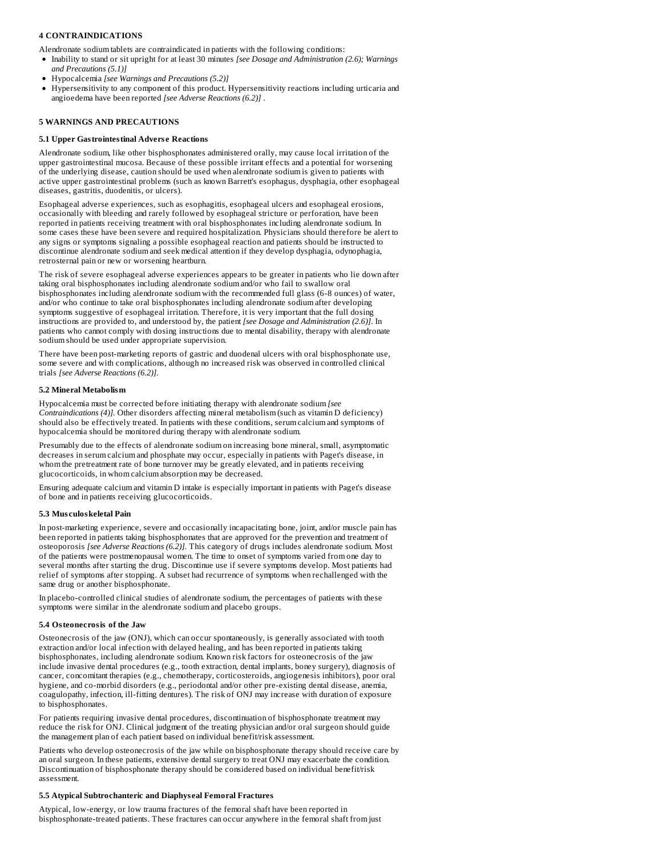## **4 CONTRAINDICATIONS**

Alendronate sodium tablets are contraindicated in patients with the following conditions:

- Inability to stand or sit upright for at least 30 minutes *[see Dosage and Administration (2.6); Warnings and Precautions (5.1)]*
- Hypocalcemia *[see Warnings and Precautions (5.2)]*
- Hypersensitivity to any component of this product. Hypersensitivity reactions including urticaria and angioedema have been reported *[see Adverse Reactions (6.2)]* .

## **5 WARNINGS AND PRECAUTIONS**

#### **5.1 Upper Gastrointestinal Advers e Reactions**

Alendronate sodium, like other bisphosphonates administered orally, may cause local irritation of the upper gastrointestinal mucosa. Because of these possible irritant effects and a potential for worsening of the underlying disease, caution should be used when alendronate sodium is given to patients with active upper gastrointestinal problems (such as known Barrett's esophagus, dysphagia, other esophageal diseases, gastritis, duodenitis, or ulcers).

Esophageal adverse experiences, such as esophagitis, esophageal ulcers and esophageal erosions, occasionally with bleeding and rarely followed by esophageal stricture or perforation, have been reported in patients receiving treatment with oral bisphosphonates including alendronate sodium. In some cases these have been severe and required hospitalization. Physicians should therefore be alert to any signs or symptoms signaling a possible esophageal reaction and patients should be instructed to discontinue alendronate sodium and seek medical attention if they develop dysphagia, odynophagia, retrosternal pain or new or worsening heartburn.

The risk of severe esophageal adverse experiences appears to be greater in patients who lie down after taking oral bisphosphonates including alendronate sodium and/or who fail to swallow oral bisphosphonates including alendronate sodium with the recommended full glass (6-8 ounces) of water, and/or who continue to take oral bisphosphonates including alendronate sodium after developing symptoms suggestive of esophageal irritation. Therefore, it is very important that the full dosing instructions are provided to, and understood by, the patient *[see Dosage and Administration (2.6)]*. In patients who cannot comply with dosing instructions due to mental disability, therapy with alendronate sodium should be used under appropriate supervision.

There have been post-marketing reports of gastric and duodenal ulcers with oral bisphosphonate use, some severe and with complications, although no increased risk was observed in controlled clinical trials *[see Adverse Reactions (6.2)]*.

#### **5.2 Mineral Metabolism**

Hypocalcemia must be corrected before initiating therapy with alendronate sodium *[see Contraindications (4)].* Other disorders affecting mineral metabolism (such as vitamin D deficiency) should also be effectively treated. In patients with these conditions, serum calcium and symptoms of hypocalcemia should be monitored during therapy with alendronate sodium.

Presumably due to the effects of alendronate sodium on increasing bone mineral, small, asymptomatic decreases in serum calcium and phosphate may occur, especially in patients with Paget's disease, in whom the pretreatment rate of bone turnover may be greatly elevated, and in patients receiving glucocorticoids, in whom calcium absorption may be decreased.

Ensuring adequate calcium and vitamin D intake is especially important in patients with Paget's disease of bone and in patients receiving glucocorticoids.

#### **5.3 Mus culoskeletal Pain**

In post-marketing experience, severe and occasionally incapacitating bone, joint, and/or muscle pain has been reported in patients taking bisphosphonates that are approved for the prevention and treatment of osteoporosis *[see Adverse Reactions (6.2)].* This category of drugs includes alendronate sodium. Most of the patients were postmenopausal women. The time to onset of symptoms varied from one day to several months after starting the drug. Discontinue use if severe symptoms develop. Most patients had relief of symptoms after stopping. A subset had recurrence of symptoms when rechallenged with the same drug or another bisphosphonate.

In placebo-controlled clinical studies of alendronate sodium, the percentages of patients with these symptoms were similar in the alendronate sodium and placebo groups.

#### **5.4 Osteonecrosis of the Jaw**

Osteonecrosis of the jaw (ONJ), which can occur spontaneously, is generally associated with tooth extraction and/or local infection with delayed healing, and has been reported in patients taking bisphosphonates, including alendronate sodium. Known risk factors for osteonecrosis of the jaw include invasive dental procedures (e.g., tooth extraction, dental implants, boney surgery), diagnosis of cancer, concomitant therapies (e.g., chemotherapy, corticosteroids, angiogenesis inhibitors), poor oral hygiene, and co-morbid disorders (e.g., periodontal and/or other pre-existing dental disease, anemia, coagulopathy, infection, ill-fitting dentures). The risk of ONJ may increase with duration of exposure to bisphosphonates.

For patients requiring invasive dental procedures, discontinuation of bisphosphonate treatment may reduce the risk for ONJ. Clinical judgment of the treating physician and/or oral surgeon should guide the management plan of each patient based on individual benefit/risk assessment.

Patients who develop osteonecrosis of the jaw while on bisphosphonate therapy should receive care by an oral surgeon. In these patients, extensive dental surgery to treat ONJ may exacerbate the condition. Discontinuation of bisphosphonate therapy should be considered based on individual benefit/risk assessment.

### **5.5 Atypical Subtrochanteric and Diaphys eal Femoral Fractures**

Atypical, low-energy, or low trauma fractures of the femoral shaft have been reported in bisphosphonate-treated patients. These fractures can occur anywhere in the femoral shaft from just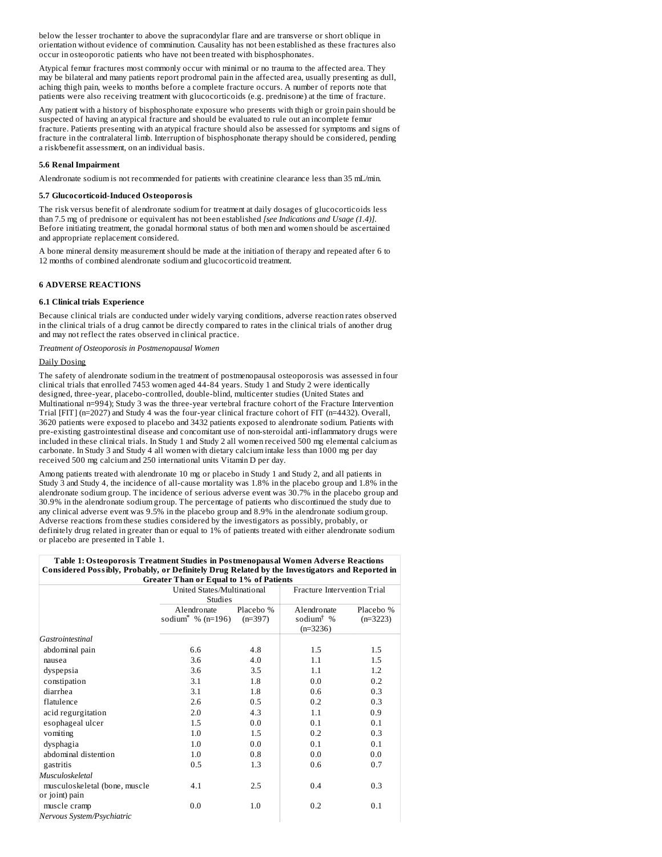below the lesser trochanter to above the supracondylar flare and are transverse or short oblique in orientation without evidence of comminution. Causality has not been established as these fractures also occur in osteoporotic patients who have not been treated with bisphosphonates.

Atypical femur fractures most commonly occur with minimal or no trauma to the affected area. They may be bilateral and many patients report prodromal pain in the affected area, usually presenting as dull, aching thigh pain, weeks to months before a complete fracture occurs. A number of reports note that patients were also receiving treatment with glucocorticoids (e.g. prednisone) at the time of fracture.

Any patient with a history of bisphosphonate exposure who presents with thigh or groin pain should be suspected of having an atypical fracture and should be evaluated to rule out an incomplete femur fracture. Patients presenting with an atypical fracture should also be assessed for symptoms and signs of fracture in the contralateral limb. Interruption of bisphosphonate therapy should be considered, pending a risk/benefit assessment, on an individual basis.

### **5.6 Renal Impairment**

Alendronate sodium is not recommended for patients with creatinine clearance less than 35 mL/min*.*

#### **5.7 Glucocorticoid-Induced Osteoporosis**

The risk versus benefit of alendronate sodium for treatment at daily dosages of glucocorticoids less than 7.5 mg of prednisone or equivalent has not been established *[see Indications and Usage (1.4)].* Before initiating treatment, the gonadal hormonal status of both men and women should be ascertained and appropriate replacement considered.

A bone mineral density measurement should be made at the initiation of therapy and repeated after 6 to 12 months of combined alendronate sodium and glucocorticoid treatment.

## **6 ADVERSE REACTIONS**

### **6.1 Clinical trials Experience**

Because clinical trials are conducted under widely varying conditions, adverse reaction rates observed in the clinical trials of a drug cannot be directly compared to rates in the clinical trials of another drug and may not reflect the rates observed in clinical practice.

*Treatment of Osteoporosis in Postmenopausal Women*

### Daily Dosing

The safety of alendronate sodium in the treatment of postmenopausal osteoporosis was assessed in four clinical trials that enrolled 7453 women aged 44-84 years. Study 1 and Study 2 were identically designed, three-year, placebo-controlled, double-blind, multicenter studies (United States and Multinational n=994); Study 3 was the three-year vertebral fracture cohort of the Fracture Intervention Trial [FIT] (n=2027) and Study 4 was the four-year clinical fracture cohort of FIT (n=4432). Overall, 3620 patients were exposed to placebo and 3432 patients exposed to alendronate sodium. Patients with pre-existing gastrointestinal disease and concomitant use of non-steroidal anti-inflammatory drugs were included in these clinical trials. In Study 1 and Study 2 all women received 500 mg elemental calcium as carbonate. In Study 3 and Study 4 all women with dietary calcium intake less than 1000 mg per day received 500 mg calcium and 250 international units Vitamin D per day.

Among patients treated with alendronate 10 mg or placebo in Study 1 and Study 2, and all patients in Study 3 and Study 4, the incidence of all-cause mortality was 1.8% in the placebo group and 1.8% in the alendronate sodium group. The incidence of serious adverse event was 30.7% in the placebo group and 30.9% in the alendronate sodium group. The percentage of patients who discontinued the study due to any clinical adverse event was 9.5% in the placebo group and 8.9% in the alendronate sodium group. Adverse reactions from these studies considered by the investigators as possibly, probably, or definitely drug related in greater than or equal to 1% of patients treated with either alendronate sodium or placebo are presented in Table 1.

| Table 1: Osteoporosis Treatment Studies in Postmenopausal Women Adverse Reactions              |
|------------------------------------------------------------------------------------------------|
| Considered Possibly, Probably, or Definitely Drug Related by the Investigators and Reported in |
| <b>Greater Than or Equal to 1% of Patients</b>                                                 |

|                               | Greater Than 01 Equal to 170 01 Fauents      |                        |                                                                       |                         |
|-------------------------------|----------------------------------------------|------------------------|-----------------------------------------------------------------------|-------------------------|
|                               | United States/Multinational<br>Studies       |                        | Fracture Intervention Trial                                           |                         |
|                               | Alendronate<br>sodium <sup>*</sup> % (n=196) | Placebo %<br>$(n=397)$ | Alendronate<br>sodium <sup><math>\dagger</math></sup> %<br>$(n=3236)$ | Placebo %<br>$(n=3223)$ |
| Gastrointestinal              |                                              |                        |                                                                       |                         |
| abdominal pain                | 6.6                                          | 4.8                    | 1.5                                                                   | 1.5                     |
| nausea                        | 3.6                                          | 4.0                    | 1.1                                                                   | 1.5                     |
| dyspepsia                     | 3.6                                          | 3.5                    | 1.1                                                                   | 1.2                     |
| constipation                  | 3.1                                          | 1.8                    | 0.0                                                                   | 0.2                     |
| diarrhea                      | 3.1                                          | 1.8                    | 0.6                                                                   | 0.3                     |
| flatulence                    | 2.6                                          | 0.5                    | 0.2                                                                   | 0.3                     |
| acid regurgitation            | 2.0                                          | 4.3                    | 1.1                                                                   | 0.9                     |
| esophageal ulcer              | 1.5                                          | 0.0                    | 0.1                                                                   | 0.1                     |
| vomiting                      | 1.0                                          | 1.5                    | 0.2                                                                   | 0.3                     |
| dysphagia                     | 1.0                                          | 0.0                    | 0.1                                                                   | 0.1                     |
| abdominal distention          | 1.0                                          | 0.8                    | 0.0                                                                   | 0.0                     |
| gastritis                     | 0.5                                          | 1.3                    | 0.6                                                                   | 0.7                     |
| Musculoskeletal               |                                              |                        |                                                                       |                         |
| musculoskeletal (bone, muscle | 4.1                                          | 2.5                    | 0.4                                                                   | 0.3                     |
| or joint) pain                |                                              |                        |                                                                       |                         |
| muscle cramp                  | 0.0                                          | 1.0                    | 0.2                                                                   | 0.1                     |
| Nervous System/Psychiatric    |                                              |                        |                                                                       |                         |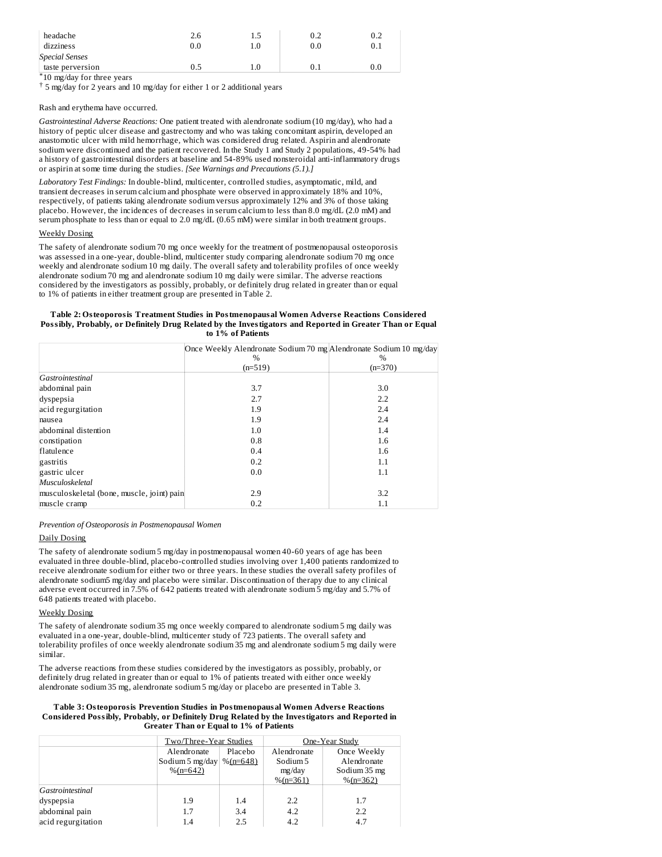| headache                           | 2.6 | 1.5 | 0.2 | 0.2 |
|------------------------------------|-----|-----|-----|-----|
| dizziness                          | 0.0 |     | 0.0 | 0.1 |
| <b>Special Senses</b>              |     |     |     |     |
| taste perversion                   | 0.5 |     |     | 0.0 |
| $*10 \dots 11$ for the contract $$ |     |     |     |     |

10 mg/day for three years \*

5 mg/day for 2 years and 10 mg/day for either 1 or 2 additional years †

Rash and erythema have occurred.

*Gastrointestinal Adverse Reactions:* One patient treated with alendronate sodium (10 mg/day), who had a history of peptic ulcer disease and gastrectomy and who was taking concomitant aspirin, developed an anastomotic ulcer with mild hemorrhage, which was considered drug related. Aspirin and alendronate sodium were discontinued and the patient recovered. In the Study 1 and Study 2 populations, 49-54% had a history of gastrointestinal disorders at baseline and 54-89% used nonsteroidal anti-inflammatory drugs or aspirin at some time during the studies. *[See Warnings and Precautions (5.1).]*

*Laboratory Test Findings:* In double-blind, multicenter, controlled studies, asymptomatic, mild, and transient decreases in serum calcium and phosphate were observed in approximately 18% and 10%, respectively, of patients taking alendronate sodium versus approximately 12% and 3% of those taking placebo. However, the incidences of decreases in serum calcium to less than 8.0 mg/dL (2.0 mM) and serum phosphate to less than or equal to 2.0 mg/dL (0.65 mM) were similar in both treatment groups.

### Weekly Dosing

The safety of alendronate sodium 70 mg once weekly for the treatment of postmenopausal osteoporosis was assessed in a one-year, double-blind, multicenter study comparing alendronate sodium 70 mg once weekly and alendronate sodium 10 mg daily. The overall safety and tolerability profiles of once weekly alendronate sodium 70 mg and alendronate sodium 10 mg daily were similar. The adverse reactions considered by the investigators as possibly, probably, or definitely drug related in greater than or equal to 1% of patients in either treatment group are presented in Table 2.

#### **Table 2: Osteoporosis Treatment Studies in Postmenopausal Women Advers e Reactions Considered Possibly, Probably, or Definitely Drug Related by the Investigators and Reported in Greater Than or Equal to 1% of Patients**

|                                            | Once Weekly Alendronate Sodium 70 mg Alendronate Sodium 10 mg/day |           |
|--------------------------------------------|-------------------------------------------------------------------|-----------|
|                                            | $\frac{0}{6}$                                                     | %         |
|                                            | $(n=519)$                                                         | $(n=370)$ |
| Gastrointestinal                           |                                                                   |           |
| abdominal pain                             | 3.7                                                               | 3.0       |
| dyspepsia                                  | 2.7                                                               | 2.2       |
| acid regurgitation                         | 1.9                                                               | 2.4       |
| nausea                                     | 1.9                                                               | 2.4       |
| abdominal distention                       | 1.0                                                               | 1.4       |
| constipation                               | 0.8                                                               | 1.6       |
| flatulence                                 | 0.4                                                               | 1.6       |
| gastritis                                  | 0.2                                                               | 1.1       |
| gastric ulcer                              | 0.0                                                               | 1.1       |
| Musculoskeletal                            |                                                                   |           |
| musculoskeletal (bone, muscle, joint) pain | 2.9                                                               | 3.2       |
| muscle cramp                               | 0.2                                                               | 1.1       |

*Prevention of Osteoporosis in Postmenopausal Women*

### Daily Dosing

The safety of alendronate sodium 5 mg/day in postmenopausal women 40-60 years of age has been evaluated in three double-blind, placebo-controlled studies involving over 1,400 patients randomized to receive alendronate sodium for either two or three years. In these studies the overall safety profiles of alendronate sodium5 mg/day and placebo were similar. Discontinuation of therapy due to any clinical adverse event occurred in 7.5% of 642 patients treated with alendronate sodium 5 mg/day and 5.7% of 648 patients treated with placebo.

### Weekly Dosing

The safety of alendronate sodium 35 mg once weekly compared to alendronate sodium 5 mg daily was evaluated in a one-year, double-blind, multicenter study of 723 patients. The overall safety and tolerability profiles of once weekly alendronate sodium 35 mg and alendronate sodium 5 mg daily were similar.

The adverse reactions from these studies considered by the investigators as possibly, probably, or definitely drug related in greater than or equal to 1% of patients treated with either once weekly alendronate sodium 35 mg, alendronate sodium 5 mg/day or placebo are presented in Table 3.

**Table 3: Osteoporosis Prevention Studies in Postmenopausal Women Advers e Reactions Considered Possibly, Probably, or Definitely Drug Related by the Investigators and Reported in Greater Than or Equal to 1% of Patients**

|                    | Two/Three-Year Studies |             |             | One-Year Study |
|--------------------|------------------------|-------------|-------------|----------------|
|                    | Alendronate            | Placebo     | Alendronate | Once Weekly    |
|                    | Sodium 5 mg/day        | $%$ (n=648) | Sodium 5    | Alendronate    |
|                    | $%$ (n=642)            |             | mg/day      | Sodium 35 mg   |
|                    |                        |             | $%$ (n=361) | $%$ (n=362)    |
| Gastrointestinal   |                        |             |             |                |
| dyspepsia          | 1.9                    | 1.4         | 2.2         | 1.7            |
| abdominal pain     | 1.7                    | 3.4         | 4.2         | 2.2            |
| acid regurgitation | 1.4                    | 2.5         | 4.2         | 4.7            |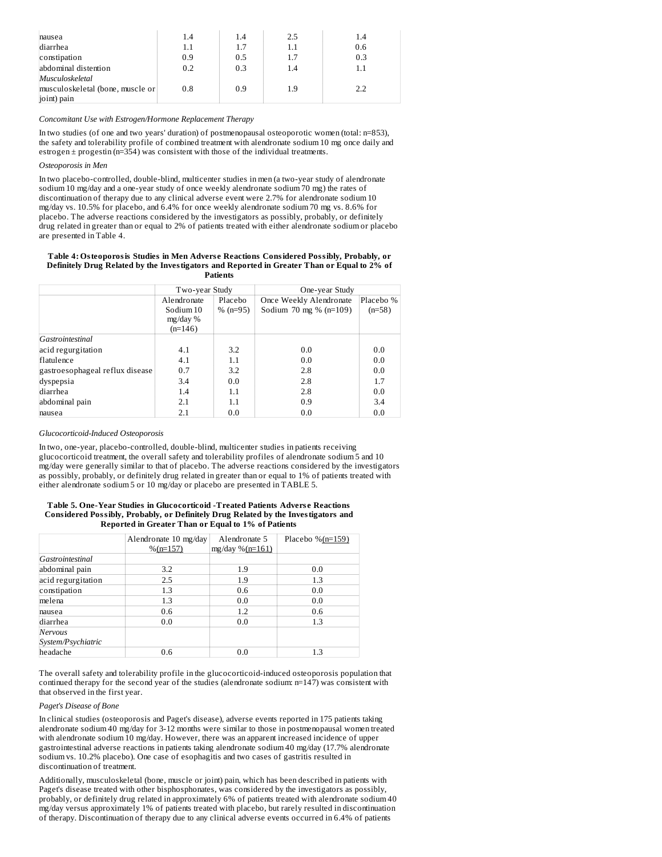| nausea                           | 1.4     | 1.4 | 2.5 | 1.4 |
|----------------------------------|---------|-----|-----|-----|
| diarrhea                         | $1.1\,$ | 1.7 | 1.1 | 0.6 |
| constipation                     | 0.9     | 0.5 | 1.7 | 0.3 |
| abdominal distention             | 0.2     | 0.3 | 1.4 | 1.1 |
| Musculoskeletal                  |         |     |     |     |
| musculoskeletal (bone, muscle or | 0.8     | 0.9 | 1.9 | 2.2 |
| joint) pain                      |         |     |     |     |

## *Concomitant Use with Estrogen/Hormone Replacement Therapy*

In two studies (of one and two years' duration) of postmenopausal osteoporotic women (total: n=853), the safety and tolerability profile of combined treatment with alendronate sodium 10 mg once daily and estrogen  $\pm$  progestin (n=354) was consistent with those of the individual treatments.

### *Osteoporosis in Men*

In two placebo-controlled, double-blind, multicenter studies in men (a two-year study of alendronate sodium 10 mg/day and a one-year study of once weekly alendronate sodium 70 mg) the rates of discontinuation of therapy due to any clinical adverse event were 2.7% for alendronate sodium 10 mg/day vs. 10.5% for placebo, and 6.4% for once weekly alendronate sodium 70 mg vs. 8.6% for placebo. The adverse reactions considered by the investigators as possibly, probably, or definitely drug related in greater than or equal to 2% of patients treated with either alendronate sodium or placebo are presented in Table 4.

#### **Table 4: Osteoporosis Studies in Men Advers e Reactions Considered Possibly, Probably, or Definitely Drug Related by the Investigators and Reported in Greater Than or Equal to 2% of Patients**

|                                 | Two-year Study         |            | One-year Study           |           |
|---------------------------------|------------------------|------------|--------------------------|-----------|
|                                 | Placebo<br>Alendronate |            | Once Weekly Alendronate  | Placebo % |
|                                 | Sodium 10              | $% (n=95)$ | Sodium 70 mg % $(n=109)$ | $(n=58)$  |
|                                 | $mg/day\%$             |            |                          |           |
|                                 | $(n=146)$              |            |                          |           |
| Gastrointestinal                |                        |            |                          |           |
| acid regurgitation              | 4.1                    | 3.2        | 0.0                      | 0.0       |
| flatulence                      | 4.1                    | 1.1        | 0.0                      | 0.0       |
| gastroesophageal reflux disease | 0.7                    | 3.2        | 2.8                      | 0.0       |
| dyspepsia                       | 3.4                    | 0.0        | 2.8                      | 1.7       |
| diarrhea                        | 1.4                    | 1.1        | 2.8                      | 0.0       |
| abdominal pain                  | 2.1                    | 1.1        | 0.9                      | 3.4       |
| nausea                          | 2.1                    | 0.0        | 0.0                      | 0.0       |

### *Glucocorticoid-Induced Osteoporosis*

In two, one-year, placebo-controlled, double-blind, multicenter studies in patients receiving glucocorticoid treatment, the overall safety and tolerability profiles of alendronate sodium 5 and 10 mg/day were generally similar to that of placebo. The adverse reactions considered by the investigators as possibly, probably, or definitely drug related in greater than or equal to 1% of patients treated with either alendronate sodium 5 or 10 mg/day or placebo are presented in TABLE 5.

### **Table 5. One-Year Studies in Glucocorticoid -Treated Patients Advers e Reactions Considered Possibly, Probably, or Definitely Drug Related by the Investigators and Reported in Greater Than or Equal to 1% of Patients**

|                               | Alendronate 10 mg/day<br>$%$ (n=157) | Alendronate 5<br>mg/day $%$ (n=161) | Placebo % $(n=159)$ |
|-------------------------------|--------------------------------------|-------------------------------------|---------------------|
| Gastrointestinal              |                                      |                                     |                     |
| abdominal pain                | 3.2                                  | 1.9                                 | 0.0                 |
| acid regurgitation            | 2.5                                  | 1.9                                 | 1.3                 |
| constipation                  | 1.3                                  | 0.6                                 | 0.0                 |
| melena                        | 1.3                                  | 0.0                                 | 0.0                 |
| nausea                        | 0.6                                  | 1.2                                 | 0.6                 |
| diarrhea                      | 0.0                                  | 0.0                                 | 1.3                 |
| Nervous<br>System/Psychiatric |                                      |                                     |                     |
| headache                      | 0.6                                  | 0.0                                 | 1.3                 |

The overall safety and tolerability profile in the glucocorticoid-induced osteoporosis population that continued therapy for the second year of the studies (alendronate sodium: n=147) was consistent with that observed in the first year.

### *Paget's Disease of Bone*

In clinical studies (osteoporosis and Paget's disease), adverse events reported in 175 patients taking alendronate sodium 40 mg/day for 3-12 months were similar to those in postmenopausal women treated with alendronate sodium 10 mg/day. However, there was an apparent increased incidence of upper gastrointestinal adverse reactions in patients taking alendronate sodium 40 mg/day (17.7% alendronate sodium vs. 10.2% placebo). One case of esophagitis and two cases of gastritis resulted in discontinuation of treatment.

Additionally, musculoskeletal (bone, muscle or joint) pain, which has been described in patients with Paget's disease treated with other bisphosphonates, was considered by the investigators as possibly, probably, or definitely drug related in approximately 6% of patients treated with alendronate sodium 40 mg/day versus approximately 1% of patients treated with placebo, but rarely resulted in discontinuation of therapy. Discontinuation of therapy due to any clinical adverse events occurred in 6.4% of patients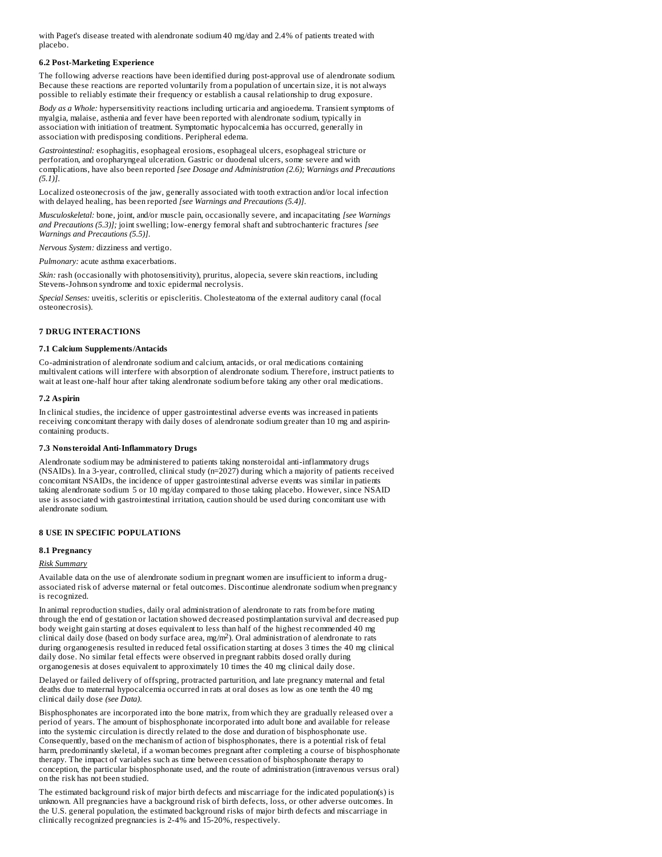with Paget's disease treated with alendronate sodium 40 mg/day and 2.4% of patients treated with placebo.

### **6.2 Post-Marketing Experience**

The following adverse reactions have been identified during post-approval use of alendronate sodium. Because these reactions are reported voluntarily from a population of uncertain size, it is not always possible to reliably estimate their frequency or establish a causal relationship to drug exposure.

*Body as a Whole:* hypersensitivity reactions including urticaria and angioedema. Transient symptoms of myalgia, malaise, asthenia and fever have been reported with alendronate sodium, typically in association with initiation of treatment. Symptomatic hypocalcemia has occurred, generally in association with predisposing conditions. Peripheral edema.

*Gastrointestinal:* esophagitis, esophageal erosions, esophageal ulcers, esophageal stricture or perforation, and oropharyngeal ulceration. Gastric or duodenal ulcers, some severe and with complications, have also been reported *[see Dosage and Administration (2.6); Warnings and Precautions (5.1)]*.

Localized osteonecrosis of the jaw, generally associated with tooth extraction and/or local infection with delayed healing, has been reported *[see Warnings and Precautions (5.4)]*.

*Musculoskeletal:* bone, joint, and/or muscle pain, occasionally severe, and incapacitating *[see Warnings and Precautions (5.3)];* joint swelling; low-energy femoral shaft and subtrochanteric fractures *[see Warnings and Precautions (5.5)]*.

*Nervous System:* dizziness and vertigo.

*Pulmonary:* acute asthma exacerbations.

*Skin:* rash (occasionally with photosensitivity), pruritus, alopecia, severe skin reactions, including Stevens-Johnson syndrome and toxic epidermal necrolysis.

*Special Senses:* uveitis, scleritis or episcleritis. Cholesteatoma of the external auditory canal (focal osteonecrosis).

### **7 DRUG INTERACTIONS**

### **7.1 Calcium Supplements/Antacids**

Co-administration of alendronate sodium and calcium, antacids, or oral medications containing multivalent cations will interfere with absorption of alendronate sodium. Therefore, instruct patients to wait at least one-half hour after taking alendronate sodium before taking any other oral medications.

### **7.2 Aspirin**

In clinical studies, the incidence of upper gastrointestinal adverse events was increased in patients receiving concomitant therapy with daily doses of alendronate sodium greater than 10 mg and aspirincontaining products.

### **7.3 Nonsteroidal Anti-Inflammatory Drugs**

Alendronate sodium may be administered to patients taking nonsteroidal anti-inflammatory drugs (NSAIDs). In a 3-year, controlled, clinical study (n=2027) during which a majority of patients received concomitant NSAIDs, the incidence of upper gastrointestinal adverse events was similar in patients taking alendronate sodium 5 or 10 mg/day compared to those taking placebo. However, since NSAID use is associated with gastrointestinal irritation, caution should be used during concomitant use with alendronate sodium.

### **8 USE IN SPECIFIC POPULATIONS**

#### **8.1 Pregnancy**

*Risk Summary*

Available data on the use of alendronate sodium in pregnant women are insufficient to inform a drugassociated risk of adverse maternal or fetal outcomes. Discontinue alendronate sodium when pregnancy is recognized.

In animal reproduction studies, daily oral administration of alendronate to rats from before mating through the end of gestation or lactation showed decreased postimplantation survival and decreased pup body weight gain starting at doses equivalent to less than half of the highest recommended 40 mg clinical daily dose (based on body surface area, mg/m<sup>2</sup>). Oral administration of alendronate to rats during organogenesis resulted in reduced fetal ossification starting at doses 3 times the 40 mg clinical daily dose. No similar fetal effects were observed in pregnant rabbits dosed orally during organogenesis at doses equivalent to approximately 10 times the 40 mg clinical daily dose.

Delayed or failed delivery of offspring, protracted parturition, and late pregnancy maternal and fetal deaths due to maternal hypocalcemia occurred in rats at oral doses as low as one tenth the 40 mg clinical daily dose *(see Data)*.

Bisphosphonates are incorporated into the bone matrix, from which they are gradually released over a period of years. The amount of bisphosphonate incorporated into adult bone and available for release into the systemic circulation is directly related to the dose and duration of bisphosphonate use. Consequently, based on the mechanism of action of bisphosphonates, there is a potential risk of fetal harm, predominantly skeletal, if a woman becomes pregnant after completing a course of bisphosphonate therapy. The impact of variables such as time between cessation of bisphosphonate therapy to conception, the particular bisphosphonate used, and the route of administration (intravenous versus oral) on the risk has not been studied.

The estimated background risk of major birth defects and miscarriage for the indicated population(s) is unknown. All pregnancies have a background risk of birth defects, loss, or other adverse outcomes. In the U.S. general population, the estimated background risks of major birth defects and miscarriage in clinically recognized pregnancies is 2-4% and 15-20%, respectively.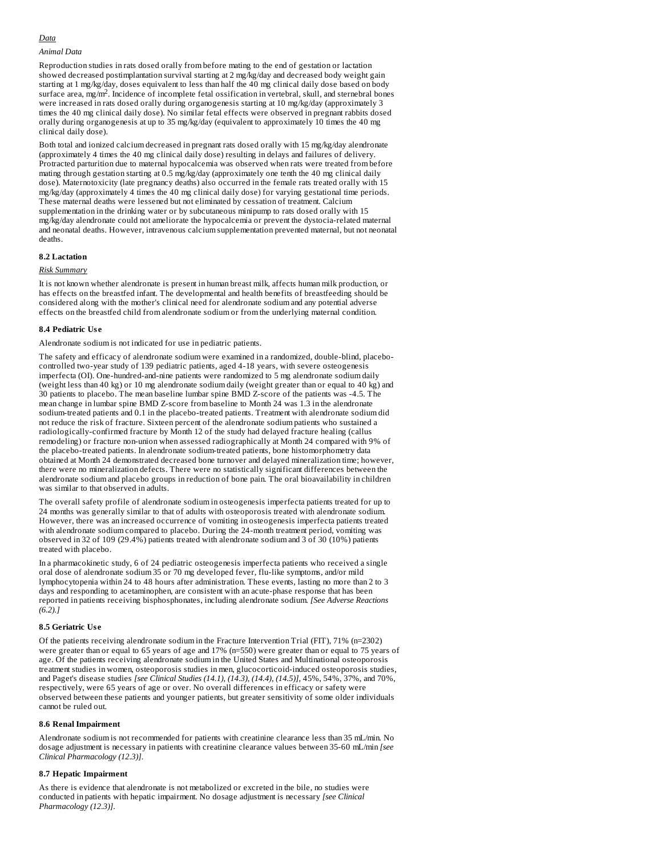## *Data*

## *Animal Data*

Reproduction studies in rats dosed orally from before mating to the end of gestation or lactation showed decreased postimplantation survival starting at 2 mg/kg/day and decreased body weight gain starting at 1 mg/kg/day, doses equivalent to less than half the 40 mg clinical daily dose based on body surface area, mg/m<sup>2</sup>. Incidence of incomplete fetal ossification in vertebral, skull, and sternebral bones were increased in rats dosed orally during organogenesis starting at 10 mg/kg/day (approximately 3 times the 40 mg clinical daily dose). No similar fetal effects were observed in pregnant rabbits dosed orally during organogenesis at up to 35 mg/kg/day (equivalent to approximately 10 times the 40 mg clinical daily dose).

Both total and ionized calcium decreased in pregnant rats dosed orally with 15 mg/kg/day alendronate (approximately 4 times the 40 mg clinical daily dose) resulting in delays and failures of delivery. Protracted parturition due to maternal hypocalcemia was observed when rats were treated from before mating through gestation starting at 0.5 mg/kg/day (approximately one tenth the 40 mg clinical daily dose). Maternotoxicity (late pregnancy deaths) also occurred in the female rats treated orally with 15 mg/kg/day (approximately 4 times the 40 mg clinical daily dose) for varying gestational time periods. These maternal deaths were lessened but not eliminated by cessation of treatment. Calcium supplementation in the drinking water or by subcutaneous minipump to rats dosed orally with 15 mg/kg/day alendronate could not ameliorate the hypocalcemia or prevent the dystocia-related maternal and neonatal deaths. However, intravenous calcium supplementation prevented maternal, but not neonatal deaths.

### **8.2 Lactation**

#### *Risk Summary*

It is not known whether alendronate is present in human breast milk, affects human milk production, or has effects on the breastfed infant. The developmental and health benefits of breastfeeding should be considered along with the mother's clinical need for alendronate sodium and any potential adverse effects on the breastfed child from alendronate sodium or from the underlying maternal condition.

### **8.4 Pediatric Us e**

Alendronate sodium is not indicated for use in pediatric patients.

The safety and efficacy of alendronate sodium were examined in a randomized, double-blind, placebocontrolled two-year study of 139 pediatric patients, aged 4-18 years, with severe osteogenesis imperfecta (OI). One-hundred-and-nine patients were randomized to 5 mg alendronate sodium daily (weight less than 40 kg) or 10 mg alendronate sodium daily (weight greater than or equal to 40 kg) and 30 patients to placebo. The mean baseline lumbar spine BMD Z-score of the patients was -4.5. The mean change in lumbar spine BMD Z-score from baseline to Month 24 was 1.3 in the alendronate sodium-treated patients and 0.1 in the placebo-treated patients. Treatment with alendronate sodium did not reduce the risk of fracture. Sixteen percent of the alendronate sodium patients who sustained a radiologically-confirmed fracture by Month 12 of the study had delayed fracture healing (callus remodeling) or fracture non-union when assessed radiographically at Month 24 compared with 9% of the placebo-treated patients. In alendronate sodium-treated patients, bone histomorphometry data obtained at Month 24 demonstrated decreased bone turnover and delayed mineralization time; however, there were no mineralization defects. There were no statistically significant differences between the alendronate sodium and placebo groups in reduction of bone pain. The oral bioavailability in children was similar to that observed in adults.

The overall safety profile of alendronate sodium in osteogenesis imperfecta patients treated for up to 24 months was generally similar to that of adults with osteoporosis treated with alendronate sodium. However, there was an increased occurrence of vomiting in osteogenesis imperfecta patients treated with alendronate sodium compared to placebo. During the 24-month treatment period, vomiting was observed in 32 of 109 (29.4%) patients treated with alendronate sodium and 3 of 30 (10%) patients treated with placebo.

In a pharmacokinetic study, 6 of 24 pediatric osteogenesis imperfecta patients who received a single oral dose of alendronate sodium 35 or 70 mg developed fever, flu-like symptoms, and/or mild lymphocytopenia within 24 to 48 hours after administration. These events, lasting no more than 2 to 3 days and responding to acetaminophen, are consistent with an acute-phase response that has been reported in patients receiving bisphosphonates, including alendronate sodium. *[See Adverse Reactions (6.2).]*

### **8.5 Geriatric Us e**

Of the patients receiving alendronate sodium in the Fracture Intervention Trial (FIT), 71% (n=2302) were greater than or equal to 65 years of age and 17% (n=550) were greater than or equal to 75 years of age. Of the patients receiving alendronate sodium in the United States and Multinational osteoporosis treatment studies in women, osteoporosis studies in men, glucocorticoid-induced osteoporosis studies, and Paget's disease studies *[see Clinical Studies (14.1), (14.3), (14.4), (14.5)],* 45%, 54%, 37%, and 70%, respectively, were 65 years of age or over. No overall differences in efficacy or safety were observed between these patients and younger patients, but greater sensitivity of some older individuals cannot be ruled out.

#### **8.6 Renal Impairment**

Alendronate sodium is not recommended for patients with creatinine clearance less than 35 mL/min*.* No dosage adjustment is necessary in patients with creatinine clearance values between 35-60 mL/min *[see Clinical Pharmacology (12.3)]*.

#### **8.7 Hepatic Impairment**

As there is evidence that alendronate is not metabolized or excreted in the bile, no studies were conducted in patients with hepatic impairment. No dosage adjustment is necessary *[see Clinical Pharmacology (12.3)]*.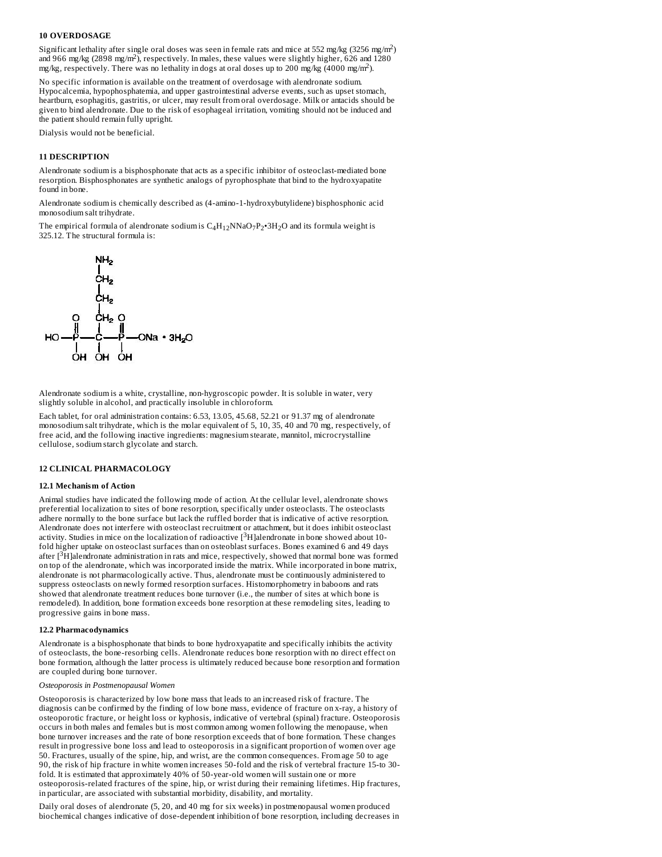### **10 OVERDOSAGE**

Significant lethality after single oral doses was seen in female rats and mice at 552 mg/kg (3256 mg/m<sup>2</sup>) and 966 mg/kg (2898 mg/m<sup>2</sup>), respectively. In males, these values were slightly higher, 626 and 1280 mg/kg, respectively. There was no lethality in dogs at oral doses up to 200 mg/kg  $(4000 \text{ mg/m}^2)$ .

No specific information is available on the treatment of overdosage with alendronate sodium. Hypocalcemia, hypophosphatemia, and upper gastrointestinal adverse events, such as upset stomach, heartburn, esophagitis, gastritis, or ulcer, may result from oral overdosage. Milk or antacids should be given to bind alendronate. Due to the risk of esophageal irritation, vomiting should not be induced and the patient should remain fully upright.

Dialysis would not be beneficial.

### **11 DESCRIPTION**

Alendronate sodium is a bisphosphonate that acts as a specific inhibitor of osteoclast-mediated bone resorption. Bisphosphonates are synthetic analogs of pyrophosphate that bind to the hydroxyapatite found in bone.

Alendronate sodium is chemically described as (4-amino-1-hydroxybutylidene) bisphosphonic acid monosodium salt trihydrate.

The empirical formula of alendronate sodium is  $\rm{C_4H_{12}NNaO_7P_2^{\bullet}3H_2O}$  and its formula weight is 325.12. The structural formula is:



Alendronate sodium is a white, crystalline, non-hygroscopic powder. It is soluble in water, very slightly soluble in alcohol, and practically insoluble in chloroform.

Each tablet, for oral administration contains: 6.53, 13.05, 45.68, 52.21 or 91.37 mg of alendronate monosodium salt trihydrate, which is the molar equivalent of 5, 10, 35, 40 and 70 mg, respectively, of free acid, and the following inactive ingredients: magnesium stearate, mannitol, microcrystalline cellulose, sodium starch glycolate and starch.

## **12 CLINICAL PHARMACOLOGY**

#### **12.1 Mechanism of Action**

Animal studies have indicated the following mode of action. At the cellular level, alendronate shows preferential localization to sites of bone resorption, specifically under osteoclasts. The osteoclasts adhere normally to the bone surface but lack the ruffled border that is indicative of active resorption. Alendronate does not interfere with osteoclast recruitment or attachment, but it does inhibit osteoclast activity. Studies in mice on the localization of radioactive  $[^3\mathrm{H}]$ alendronate in bone showed about 10fold higher uptake on osteoclast surfaces than on osteoblast surfaces. Bones examined 6 and 49 days after  $[3H]$ alendronate administration in rats and mice, respectively, showed that normal bone was formed on top of the alendronate, which was incorporated inside the matrix. While incorporated in bone matrix, alendronate is not pharmacologically active. Thus, alendronate must be continuously administered to suppress osteoclasts on newly formed resorption surfaces. Histomorphometry in baboons and rats showed that alendronate treatment reduces bone turnover (i.e., the number of sites at which bone is remodeled). In addition, bone formation exceeds bone resorption at these remodeling sites, leading to progressive gains in bone mass.

#### **12.2 Pharmacodynamics**

Alendronate is a bisphosphonate that binds to bone hydroxyapatite and specifically inhibits the activity of osteoclasts, the bone-resorbing cells. Alendronate reduces bone resorption with no direct effect on bone formation, although the latter process is ultimately reduced because bone resorption and formation are coupled during bone turnover.

#### *Osteoporosis in Postmenopausal Women*

Osteoporosis is characterized by low bone mass that leads to an increased risk of fracture. The diagnosis can be confirmed by the finding of low bone mass, evidence of fracture on x-ray, a history of osteoporotic fracture, or height loss or kyphosis, indicative of vertebral (spinal) fracture. Osteoporosis occurs in both males and females but is most common among women following the menopause, when bone turnover increases and the rate of bone resorption exceeds that of bone formation. These changes result in progressive bone loss and lead to osteoporosis in a significant proportion of women over age 50. Fractures, usually of the spine, hip, and wrist, are the common consequences. From age 50 to age 90, the risk of hip fracture in white women increases 50-fold and the risk of vertebral fracture 15-to 30 fold. It is estimated that approximately 40% of 50-year-old women will sustain one or more osteoporosis-related fractures of the spine, hip, or wrist during their remaining lifetimes. Hip fractures, in particular, are associated with substantial morbidity, disability, and mortality.

Daily oral doses of alendronate (5, 20, and 40 mg for six weeks) in postmenopausal women produced biochemical changes indicative of dose-dependent inhibition of bone resorption, including decreases in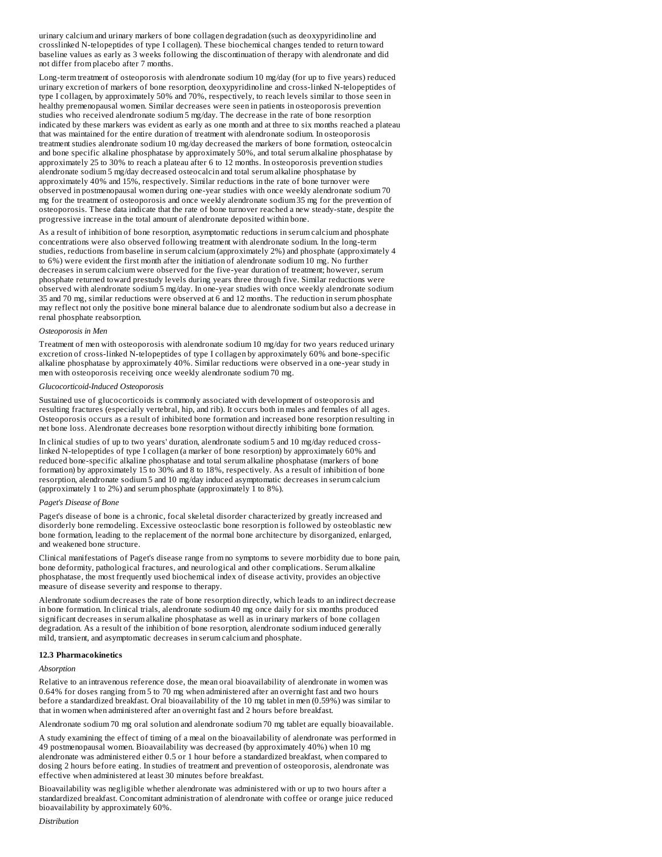urinary calcium and urinary markers of bone collagen degradation (such as deoxypyridinoline and crosslinked N-telopeptides of type I collagen). These biochemical changes tended to return toward baseline values as early as 3 weeks following the discontinuation of therapy with alendronate and did not differ from placebo after 7 months.

Long-term treatment of osteoporosis with alendronate sodium 10 mg/day (for up to five years) reduced urinary excretion of markers of bone resorption, deoxypyridinoline and cross-linked N-telopeptides of type I collagen, by approximately 50% and 70%, respectively, to reach levels similar to those seen in healthy premenopausal women. Similar decreases were seen in patients in osteoporosis prevention studies who received alendronate sodium 5 mg/day. The decrease in the rate of bone resorption indicated by these markers was evident as early as one month and at three to six months reached a plateau that was maintained for the entire duration of treatment with alendronate sodium. In osteoporosis treatment studies alendronate sodium 10 mg/day decreased the markers of bone formation, osteocalcin and bone specific alkaline phosphatase by approximately 50%, and total serum alkaline phosphatase by approximately 25 to 30% to reach a plateau after 6 to 12 months. In osteoporosis prevention studies alendronate sodium 5 mg/day decreased osteocalcin and total serum alkaline phosphatase by approximately 40% and 15%, respectively. Similar reductions in the rate of bone turnover were observed in postmenopausal women during one-year studies with once weekly alendronate sodium 70 mg for the treatment of osteoporosis and once weekly alendronate sodium 35 mg for the prevention of osteoporosis. These data indicate that the rate of bone turnover reached a new steady-state, despite the progressive increase in the total amount of alendronate deposited within bone.

As a result of inhibition of bone resorption, asymptomatic reductions in serum calcium and phosphate concentrations were also observed following treatment with alendronate sodium. In the long-term studies, reductions from baseline in serum calcium (approximately 2%) and phosphate (approximately 4 to 6%) were evident the first month after the initiation of alendronate sodium 10 mg. No further decreases in serum calcium were observed for the five-year duration of treatment; however, serum phosphate returned toward prestudy levels during years three through five. Similar reductions were observed with alendronate sodium 5 mg/day. In one-year studies with once weekly alendronate sodium 35 and 70 mg, similar reductions were observed at 6 and 12 months. The reduction in serum phosphate may reflect not only the positive bone mineral balance due to alendronate sodium but also a decrease in renal phosphate reabsorption.

#### *Osteoporosis in Men*

Treatment of men with osteoporosis with alendronate sodium 10 mg/day for two years reduced urinary excretion of cross-linked N-telopeptides of type I collagen by approximately 60% and bone-specific alkaline phosphatase by approximately 40%. Similar reductions were observed in a one-year study in men with osteoporosis receiving once weekly alendronate sodium 70 mg.

## *Glucocorticoid-Induced Osteoporosis*

Sustained use of glucocorticoids is commonly associated with development of osteoporosis and resulting fractures (especially vertebral, hip, and rib). It occurs both in males and females of all ages. Osteoporosis occurs as a result of inhibited bone formation and increased bone resorption resulting in net bone loss. Alendronate decreases bone resorption without directly inhibiting bone formation.

In clinical studies of up to two years' duration, alendronate sodium 5 and 10 mg/day reduced crosslinked N-telopeptides of type I collagen (a marker of bone resorption) by approximately 60% and reduced bone-specific alkaline phosphatase and total serum alkaline phosphatase (markers of bone formation) by approximately 15 to 30% and 8 to 18%, respectively. As a result of inhibition of bone resorption, alendronate sodium 5 and 10 mg/day induced asymptomatic decreases in serum calcium (approximately 1 to 2%) and serum phosphate (approximately 1 to 8%).

#### *Paget's Disease of Bone*

Paget's disease of bone is a chronic, focal skeletal disorder characterized by greatly increased and disorderly bone remodeling. Excessive osteoclastic bone resorption is followed by osteoblastic new bone formation, leading to the replacement of the normal bone architecture by disorganized, enlarged, and weakened bone structure.

Clinical manifestations of Paget's disease range from no symptoms to severe morbidity due to bone pain, bone deformity, pathological fractures, and neurological and other complications. Serum alkaline phosphatase, the most frequently used biochemical index of disease activity, provides an objective measure of disease severity and response to therapy.

Alendronate sodium decreases the rate of bone resorption directly, which leads to an indirect decrease in bone formation. In clinical trials, alendronate sodium 40 mg once daily for six months produced significant decreases in serum alkaline phosphatase as well as in urinary markers of bone collagen degradation. As a result of the inhibition of bone resorption, alendronate sodium induced generally mild, transient, and asymptomatic decreases in serum calcium and phosphate.

### **12.3 Pharmacokinetics**

### *Absorption*

Relative to an intravenous reference dose, the mean oral bioavailability of alendronate in women was 0.64% for doses ranging from 5 to 70 mg when administered after an overnight fast and two hours before a standardized breakfast. Oral bioavailability of the 10 mg tablet in men (0.59%) was similar to that in women when administered after an overnight fast and 2 hours before breakfast.

Alendronate sodium 70 mg oral solution and alendronate sodium 70 mg tablet are equally bioavailable.

A study examining the effect of timing of a meal on the bioavailability of alendronate was performed in 49 postmenopausal women. Bioavailability was decreased (by approximately 40%) when 10 mg alendronate was administered either 0.5 or 1 hour before a standardized breakfast, when compared to dosing 2 hours before eating. In studies of treatment and prevention of osteoporosis, alendronate was effective when administered at least 30 minutes before breakfast.

Bioavailability was negligible whether alendronate was administered with or up to two hours after a standardized breakfast. Concomitant administration of alendronate with coffee or orange juice reduced bioavailability by approximately 60%.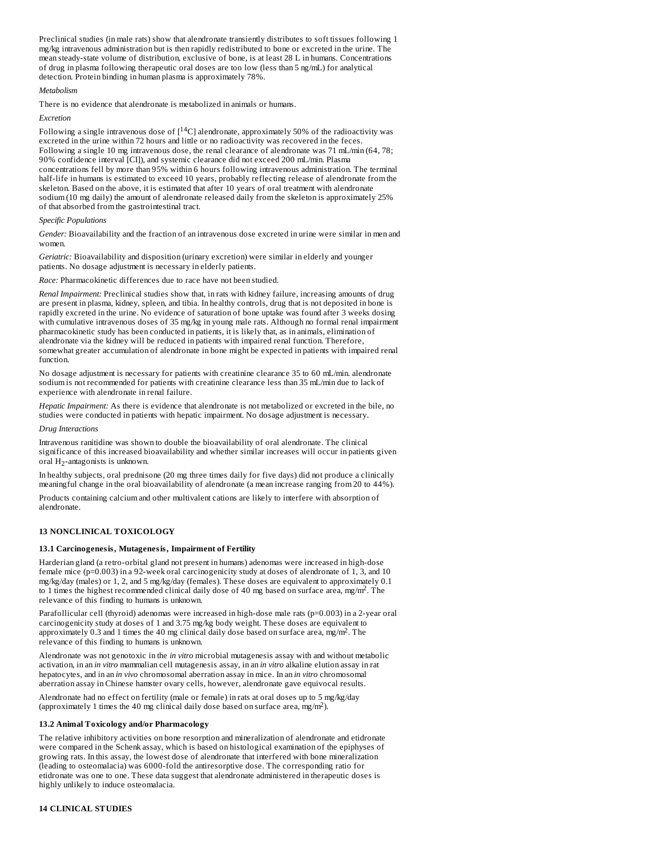Preclinical studies (in male rats) show that alendronate transiently distributes to soft tissues following 1 mg/kg intravenous administration but is then rapidly redistributed to bone or excreted in the urine*.* The mean steady-state volume of distribution, exclusive of bone, is at least 28 L in humans*.* Concentrations of drug in plasma following therapeutic oral doses are too low (less than 5 ng/mL) for analytical detection. Protein binding in human plasma is approximately 78%.

### *Metabolism*

There is no evidence that alendronate is metabolized in animals or humans.

### *Excretion*

Following a single intravenous dose of  $[$ <sup>14</sup>C] alendronate, approximately 50% of the radioactivity was excreted in the urine within 72 hours and little or no radioactivity was recovered in the feces. Following a single 10 mg intravenous dose, the renal clearance of alendronate was 71 mL/min (64, 78; 90% confidence interval [CI]), and systemic clearance did not exceed 200 mL/min. Plasma concentrations fell by more than 95% within 6 hours following intravenous administration. The terminal half-life in humans is estimated to exceed 10 years, probably reflecting release of alendronate from the skeleton. Based on the above, it is estimated that after 10 years of oral treatment with alendronate sodium (10 mg daily) the amount of alendronate released daily from the skeleton is approximately 25% of that absorbed from the gastrointestinal tract.

## *Specific Populations*

*Gender:* Bioavailability and the fraction of an intravenous dose excreted in urine were similar in men and women.

*Geriatric:* Bioavailability and disposition (urinary excretion) were similar in elderly and younger patients. No dosage adjustment is necessary in elderly patients.

### *Race:* Pharmacokinetic differences due to race have not been studied.

*Renal Impairment:* Preclinical studies show that, in rats with kidney failure, increasing amounts of drug are present in plasma, kidney, spleen, and tibia. In healthy controls, drug that is not deposited in bone is rapidly excreted in the urine. No evidence of saturation of bone uptake was found after 3 weeks dosing with cumulative intravenous doses of 35 mg/kg in young male rats. Although no formal renal impairment pharmacokinetic study has been conducted in patients, it is likely that, as in animals, elimination of alendronate via the kidney will be reduced in patients with impaired renal function. Therefore, somewhat greater accumulation of alendronate in bone might be expected in patients with impaired renal function.

No dosage adjustment is necessary for patients with creatinine clearance 35 to 60 mL/min. alendronate sodium is not recommended for patients with creatinine clearance less than 35 mL/min due to lack of experience with alendronate in renal failure.

*Hepatic Impairment:* As there is evidence that alendronate is not metabolized or excreted in the bile, no studies were conducted in patients with hepatic impairment. No dosage adjustment is necessary.

#### *Drug Interactions*

Intravenous ranitidine was shown to double the bioavailability of oral alendronate. The clinical significance of this increased bioavailability and whether similar increases will occur in patients given oral  $H_2$ -antagonists is unknown.

In healthy subjects, oral prednisone (20 mg three times daily for five days) did not produce a clinically meaningful change in the oral bioavailability of alendronate (a mean increase ranging from 20 to 44%).

Products containing calcium and other multivalent cations are likely to interfere with absorption of alendronate.

### **13 NONCLINICAL TOXICOLOGY**

### **13.1 Carcinogenesis, Mutagenesis, Impairment of Fertility**

Harderian gland (a retro-orbital gland not present in humans) adenomas were increased in high-dose female mice (p=0.003) in a 92-week oral carcinogenicity study at doses of alendronate of 1, 3, and 10 mg/kg/day (males) or 1, 2, and 5 mg/kg/day (females). These doses are equivalent to approximately 0.1 to 1 times the highest recommended clinical daily dose of 40 mg based on surface area, mg/m<sup>2</sup>. The relevance of this finding to humans is unknown.

Parafollicular cell (thyroid) adenomas were increased in high-dose male rats (p=0.003) in a 2-year oral carcinogenicity study at doses of 1 and 3.75 mg/kg body weight. These doses are equivalent to approximately 0.3 and 1 times the 40 mg clinical daily dose based on surface area, mg/m<sup>2</sup>. The relevance of this finding to humans is unknown.

Alendronate was not genotoxic in the *in vitro* microbial mutagenesis assay with and without metabolic activation, in an *in vitro* mammalian cell mutagenesis assay, in an *in vitro* alkaline elution assay in rat hepatocytes, and in an *in vivo* chromosomal aberration assay in mice. In an *in vitro* chromosomal aberration assay in Chinese hamster ovary cells, however, alendronate gave equivocal results.

Alendronate had no effect on fertility (male or female) in rats at oral doses up to 5 mg/kg/day (approximately 1 times the 40 mg clinical daily dose based on surface area,  $mg/m^2$ ).

### **13.2 Animal Toxicology and/or Pharmacology**

The relative inhibitory activities on bone resorption and mineralization of alendronate and etidronate were compared in the Schenk assay, which is based on histological examination of the epiphyses of growing rats. In this assay, the lowest dose of alendronate that interfered with bone mineralization (leading to osteomalacia) was 6000-fold the antiresorptive dose. The corresponding ratio for etidronate was one to one. These data suggest that alendronate administered in therapeutic doses is highly unlikely to induce osteomalacia.

## **14 CLINICAL STUDIES**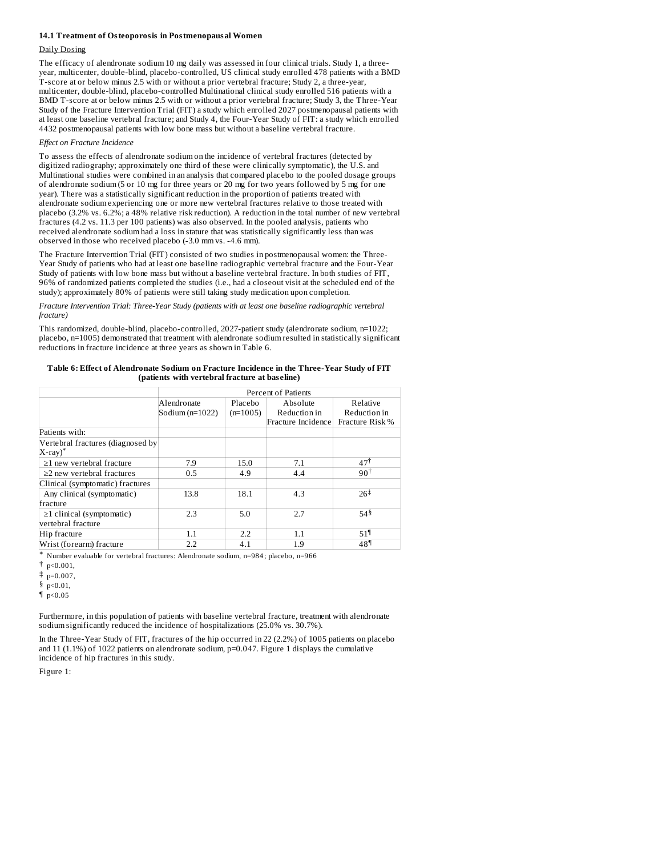#### **14.1 Treatment of Osteoporosis in Postmenopausal Women**

### Daily Dosing

The efficacy of alendronate sodium 10 mg daily was assessed in four clinical trials. Study 1, a threeyear, multicenter, double-blind, placebo-controlled, US clinical study enrolled 478 patients with a BMD T-score at or below minus 2.5 with or without a prior vertebral fracture; Study 2, a three-year, multicenter, double-blind, placebo-controlled Multinational clinical study enrolled 516 patients with a BMD T-score at or below minus 2.5 with or without a prior vertebral fracture; Study 3, the Three-Year Study of the Fracture Intervention Trial (FIT) a study which enrolled 2027 postmenopausal patients with at least one baseline vertebral fracture; and Study 4, the Four-Year Study of FIT: a study which enrolled 4432 postmenopausal patients with low bone mass but without a baseline vertebral fracture.

#### *Effect on Fracture Incidence*

To assess the effects of alendronate sodium on the incidence of vertebral fractures (detected by digitized radiography; approximately one third of these were clinically symptomatic), the U.S. and Multinational studies were combined in an analysis that compared placebo to the pooled dosage groups of alendronate sodium (5 or 10 mg for three years or 20 mg for two years followed by 5 mg for one year). There was a statistically significant reduction in the proportion of patients treated with alendronate sodium experiencing one or more new vertebral fractures relative to those treated with placebo (3.2% vs. 6.2%; a 48% relative risk reduction). A reduction in the total number of new vertebral fractures (4.2 vs. 11.3 per 100 patients) was also observed. In the pooled analysis, patients who received alendronate sodium had a loss in stature that was statistically significantly less than was observed in those who received placebo (-3.0 mm vs. -4.6 mm).

The Fracture Intervention Trial (FIT) consisted of two studies in postmenopausal women: the Three-Year Study of patients who had at least one baseline radiographic vertebral fracture and the Four-Year Study of patients with low bone mass but without a baseline vertebral fracture. In both studies of FIT, 96% of randomized patients completed the studies (i.e., had a closeout visit at the scheduled end of the study); approximately 80% of patients were still taking study medication upon completion.

*Fracture Intervention Trial: Three-Year Study (patients with at least one baseline radiographic vertebral fracture)*

This randomized, double-blind, placebo-controlled, 2027-patient study (alendronate sodium, n=1022; placebo, n=1005) demonstrated that treatment with alendronate sodium resulted in statistically significant reductions in fracture incidence at three years as shown in Table 6.

**Table 6: Effect of Alendronate Sodium on Fracture Incidence in the Three-Year Study of FIT (patients with vertebral fracture at bas eline)**

|                                                         |                   |            | <b>Percent of Patients</b> |                   |  |  |  |
|---------------------------------------------------------|-------------------|------------|----------------------------|-------------------|--|--|--|
|                                                         | Alendronate       | Placebo    | Absolute                   | Relative          |  |  |  |
|                                                         | Sodium $(n=1022)$ | $(n=1005)$ | Reduction in               | Reduction in      |  |  |  |
|                                                         |                   |            | Fracture Incidence         | Fracture Risk%    |  |  |  |
| Patients with:                                          |                   |            |                            |                   |  |  |  |
| Vertebral fractures (diagnosed by<br>$X$ -ray $)^{\pi}$ |                   |            |                            |                   |  |  |  |
| $\geq$ 1 new vertebral fracture                         | 7.9               | 15.0       | 7.1                        | $47^{\dagger}$    |  |  |  |
| $\geq$ 2 new vertebral fractures                        | 0.5               | 4.9        | 4.4                        | $90^+$            |  |  |  |
| Clinical (symptomatic) fractures                        |                   |            |                            |                   |  |  |  |
| Any clinical (symptomatic)                              | 13.8              | 18.1       | 4.3                        | $26^{\ddagger}$   |  |  |  |
| fracture                                                |                   |            |                            |                   |  |  |  |
| $\geq$ 1 clinical (symptomatic)<br>vertebral fracture   | 2.3               | 5.0        | 2.7                        | $54^{8}$          |  |  |  |
| Hip fracture                                            | 1.1               | 2.2        | 1.1                        | $51$ <sup>1</sup> |  |  |  |
| Wrist (forearm) fracture                                | 2.2               | 4.1        | 1.9                        | 48 <sup>1</sup>   |  |  |  |

\* Number evaluable for vertebral fractures: Alendronate sodium, n=984 ; placebo, n=966

† p<0.001,

 $\ddagger$  p=0.007,

§ p<0.01,

 $\n **p** < 0.05\n$ 

Furthermore, in this population of patients with baseline vertebral fracture, treatment with alendronate sodium significantly reduced the incidence of hospitalizations (25.0% vs. 30.7%).

In the Three-Year Study of FIT, fractures of the hip occurred in 22 (2.2%) of 1005 patients on placebo and 11 (1.1%) of 1022 patients on alendronate sodium, p=0.047. Figure 1 displays the cumulative incidence of hip fractures in this study.

Figure 1: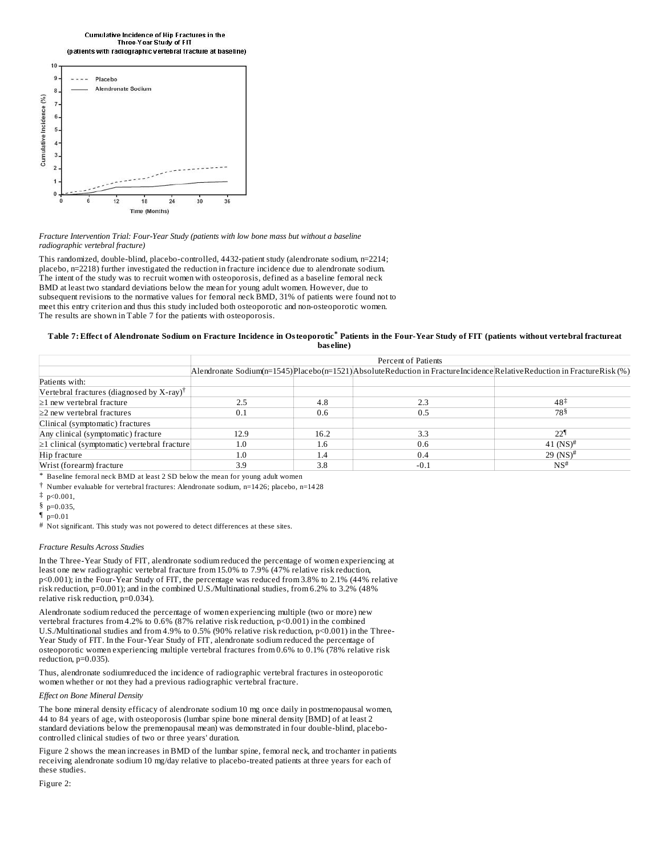Cumulative Incidence of Hip Fractures in the Three-Year Study of FIT (patients with radiographic vertebral fracture at baseline)



*Fracture Intervention Trial: Four-Year Study (patients with low bone mass but without a baseline radiographic vertebral fracture)*

This randomized, double-blind, placebo-controlled, 4432-patient study (alendronate sodium, n=2214; placebo, n=2218) further investigated the reduction in fracture incidence due to alendronate sodium. The intent of the study was to recruit women with osteoporosis, defined as a baseline femoral neck BMD at least two standard deviations below the mean for young adult women. However, due to subsequent revisions to the normative values for femoral neck BMD, 31% of patients were found not to meet this entry criterion and thus this study included both osteoporotic and non-osteoporotic women. The results are shown in Table 7 for the patients with osteoporosis.

#### Table 7: Effect of Alendronate Sodium on Fracture Incidence in Osteoporotic\* Patients in the Four-Year Study of FIT (patients without vertebral fractureat **bas eline)**

|                                                          |               | Percent of Patients |                                                                                                                         |                        |  |  |  |
|----------------------------------------------------------|---------------|---------------------|-------------------------------------------------------------------------------------------------------------------------|------------------------|--|--|--|
|                                                          |               |                     | Alendronate Sodium(n=1545) Placebo(n=1521) AbsoluteReduction in FractureIncidence RelativeReduction in FractureRisk (%) |                        |  |  |  |
| Patients with:                                           |               |                     |                                                                                                                         |                        |  |  |  |
| Vertebral fractures (diagnosed by $X$ -ray) <sup>†</sup> |               |                     |                                                                                                                         |                        |  |  |  |
| $\geq$ 1 new vertebral fracture                          | 2.5           | 4.8                 | 2.3                                                                                                                     | $48^{\ddagger}$        |  |  |  |
| $\geq$ new vertebral fractures                           | 0.1           | 0.6                 | 0.5                                                                                                                     | 78 <sup>§</sup>        |  |  |  |
| Clinical (symptomatic) fractures                         |               |                     |                                                                                                                         |                        |  |  |  |
| Any clinical (symptomatic) fracture                      | 12.9          | 16.2                | 3.3                                                                                                                     | 22 <sup>1</sup>        |  |  |  |
| $\geq$ 1 clinical (symptomatic) vertebral fracture       | $1.0\,$       | 1.6                 | 0.6                                                                                                                     | 41 $(NS)^{\#}$         |  |  |  |
| Hip fracture                                             | $1.0^{\circ}$ | 1.4                 | 0.4                                                                                                                     | 29 $(NS)$ <sup>#</sup> |  |  |  |
| Wrist (forearm) fracture                                 | 3.9           | 3.8                 | $-0.1$                                                                                                                  | NS <sup>#</sup>        |  |  |  |

\* Baseline femoral neck BMD at least 2 SD below the mean for young adult women

† Number evaluable for vertebral fractures: Alendronate sodium, n=14 26; placebo, n=14 28

 $\ddagger$  p<0.001,

§ p=0.035,

 $\n <sup>9</sup> p=0.01$ 

# Not significant. This study was not powered to detect differences at these sites.

#### *Fracture Results Across Studies*

In the Three-Year Study of FIT, alendronate sodium reduced the percentage of women experiencing at least one new radiographic vertebral fracture from 15.0% to 7.9% (47% relative risk reduction, p<0.001); in the Four-Year Study of FIT, the percentage was reduced from 3.8% to 2.1% (44% relative risk reduction, p=0.001); and in the combined U.S./Multinational studies, from 6.2% to 3.2% (48% relative risk reduction, p=0.034).

Alendronate sodium reduced the percentage of women experiencing multiple (two or more) new vertebral fractures from 4.2% to 0.6% (87% relative risk reduction, p<0.001) in the combined U.S./Multinational studies and from 4.9% to 0.5% (90% relative risk reduction, p<0.001) in the Three-Year Study of FIT. In the Four-Year Study of FIT, alendronate sodium reduced the percentage of osteoporotic women experiencing multiple vertebral fractures from 0.6% to 0.1% (78% relative risk reduction, p=0.035).

Thus, alendronate sodiumreduced the incidence of radiographic vertebral fractures in osteoporotic women whether or not they had a previous radiographic vertebral fracture.

### *Effect on Bone Mineral Density*

The bone mineral density efficacy of alendronate sodium 10 mg once daily in postmenopausal women, 44 to 84 years of age, with osteoporosis (lumbar spine bone mineral density [BMD] of at least 2 standard deviations below the premenopausal mean) was demonstrated in four double-blind, placebocontrolled clinical studies of two or three years' duration.

Figure 2 shows the mean increases in BMD of the lumbar spine, femoral neck, and trochanter in patients receiving alendronate sodium 10 mg/day relative to placebo-treated patients at three years for each of these studies.

Figure 2: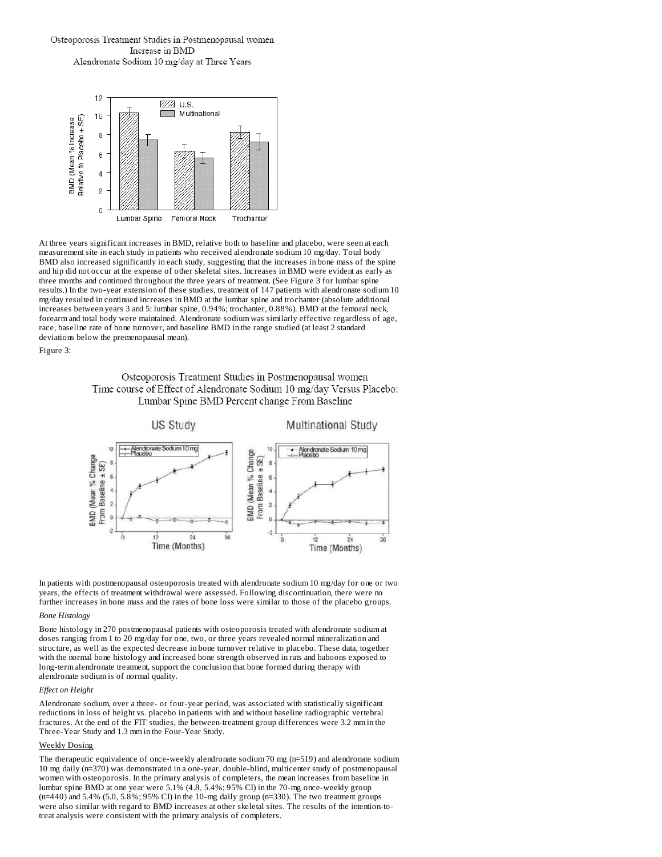## Osteoporosis Treatment Studies in Postmenopausal women Increase in BMD Alendronate Sodium 10 mg/day at Three Years



At three years significant increases in BMD, relative both to baseline and placebo, were seen at each measurement site in each study in patients who received alendronate sodium 10 mg/day. Total body BMD also increased significantly in each study, suggesting that the increases in bone mass of the spine and hip did not occur at the expense of other skeletal sites. Increases in BMD were evident as early as three months and continued throughout the three years of treatment. (See Figure 3 for lumbar spine results.) In the two-year extension of these studies, treatment of 147 patients with alendronate sodium 10 mg/day resulted in continued increases in BMD at the lumbar spine and trochanter (absolute additional increases between years 3 and 5: lumbar spine, 0.94%; trochanter, 0.88%). BMD at the femoral neck, forearm and total body were maintained. Alendronate sodium was similarly effective regardless of age, race, baseline rate of bone turnover, and baseline BMD in the range studied (at least 2 standard deviations below the premenopausal mean).

Figure 3:

## Osteoporosis Treatment Studies in Postmenopausal women Time course of Effect of Alendronate Sodium 10 mg/day Versus Placebo: Lumbar Spine BMD Percent change From Baseline



In patients with postmenopausal osteoporosis treated with alendronate sodium 10 mg/day for one or two years, the effects of treatment withdrawal were assessed. Following discontinuation, there were no further increases in bone mass and the rates of bone loss were similar to those of the placebo groups.

## *Bone Histology*

Bone histology in 270 postmenopausal patients with osteoporosis treated with alendronate sodium at doses ranging from 1 to 20 mg/day for one, two, or three years revealed normal mineralization and structure, as well as the expected decrease in bone turnover relative to placebo. These data, together with the normal bone histology and increased bone strength observed in rats and baboons exposed to long-term alendronate treatment, support the conclusion that bone formed during therapy with alendronate sodium is of normal quality.

### *Effect on Height*

Alendronate sodium, over a three- or four-year period, was associated with statistically significant reductions in loss of height vs. placebo in patients with and without baseline radiographic vertebral fractures. At the end of the FIT studies, the between-treatment group differences were 3.2 mm in the Three-Year Study and 1.3 mm in the Four-Year Study.

### Weekly Dosing

The therapeutic equivalence of once-weekly alendronate sodium 70 mg (n=519) and alendronate sodium 10 mg daily (n=370) was demonstrated in a one-year, double-blind, multicenter study of postmenopausal women with osteoporosis. In the primary analysis of completers, the mean increases from baseline in lumbar spine BMD at one year were 5.1% (4.8, 5.4%; 95% CI) in the 70-mg once-weekly group (n=440) and 5.4% (5.0, 5.8%; 95% CI) in the 10-mg daily group (n=330). The two treatment groups were also similar with regard to BMD increases at other skeletal sites. The results of the intention-totreat analysis were consistent with the primary analysis of completers.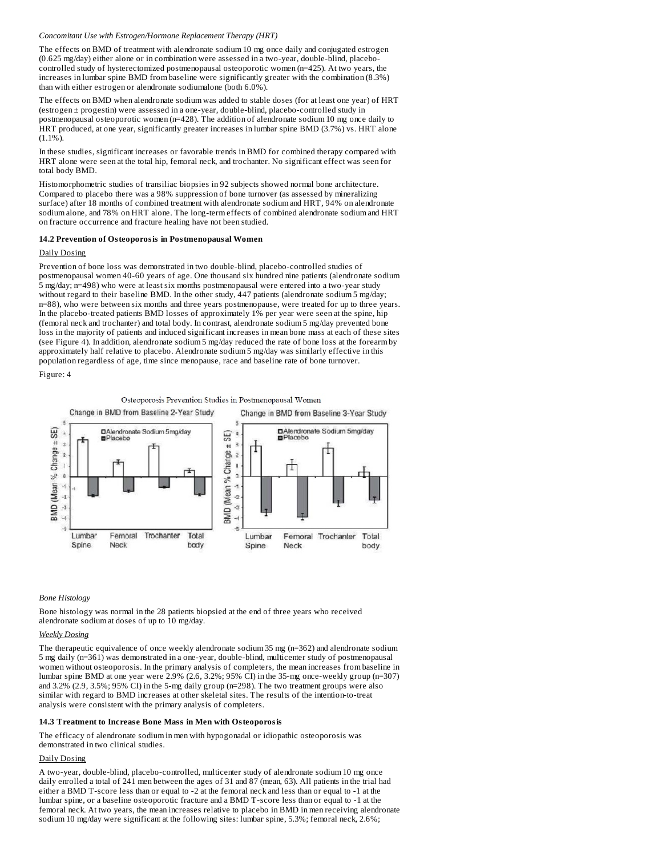#### *Concomitant Use with Estrogen/Hormone Replacement Therapy (HRT)*

The effects on BMD of treatment with alendronate sodium 10 mg once daily and conjugated estrogen (0.625 mg/day) either alone or in combination were assessed in a two-year, double-blind, placebocontrolled study of hysterectomized postmenopausal osteoporotic women (n=425). At two years, the increases in lumbar spine BMD from baseline were significantly greater with the combination (8.3%) than with either estrogen or alendronate sodiumalone (both 6.0%).

The effects on BMD when alendronate sodium was added to stable doses (for at least one year) of HRT (estrogen ± progestin) were assessed in a one-year, double-blind, placebo-controlled study in postmenopausal osteoporotic women (n=428). The addition of alendronate sodium 10 mg once daily to HRT produced, at one year, significantly greater increases in lumbar spine BMD (3.7%) vs. HRT alone (1.1%).

In these studies, significant increases or favorable trends in BMD for combined therapy compared with HRT alone were seen at the total hip, femoral neck, and trochanter. No significant effect was seen for total body BMD.

Histomorphometric studies of transiliac biopsies in 92 subjects showed normal bone architecture. Compared to placebo there was a 98% suppression of bone turnover (as assessed by mineralizing surface) after 18 months of combined treatment with alendronate sodium and HRT, 94% on alendronate sodium alone, and 78% on HRT alone. The long-term effects of combined alendronate sodium and HRT on fracture occurrence and fracture healing have not been studied.

### **14.2 Prevention of Osteoporosis in Postmenopausal Women**

### Daily Dosing

Prevention of bone loss was demonstrated in two double-blind, placebo-controlled studies of postmenopausal women 40-60 years of age. One thousand six hundred nine patients (alendronate sodium 5 mg/day; n=498) who were at least six months postmenopausal were entered into a two-year study without regard to their baseline BMD. In the other study, 447 patients (alendronate sodium 5 mg/day; n=88), who were between six months and three years postmenopause, were treated for up to three years. In the placebo-treated patients BMD losses of approximately 1% per year were seen at the spine, hip (femoral neck and trochanter) and total body. In contrast, alendronate sodium 5 mg/day prevented bone loss in the majority of patients and induced significant increases in mean bone mass at each of these sites (see Figure 4). In addition, alendronate sodium 5 mg/day reduced the rate of bone loss at the forearm by approximately half relative to placebo. Alendronate sodium 5 mg/day was similarly effective in this population regardless of age, time since menopause, race and baseline rate of bone turnover.

Figure: 4

Osteoporosis Prevention Studies in Postmenopausal Women



#### *Bone Histology*

Bone histology was normal in the 28 patients biopsied at the end of three years who received alendronate sodium at doses of up to 10 mg/day.

### *Weekly Dosing*

The therapeutic equivalence of once weekly alendronate sodium 35 mg (n=362) and alendronate sodium 5 mg daily (n=361) was demonstrated in a one-year, double-blind, multicenter study of postmenopausal women without osteoporosis. In the primary analysis of completers, the mean increases from baseline in lumbar spine BMD at one year were 2.9% (2.6, 3.2%; 95% CI) in the 35-mg once-weekly group (n=307) and 3.2% (2.9, 3.5%; 95% CI) in the 5-mg daily group (n=298). The two treatment groups were also similar with regard to BMD increases at other skeletal sites. The results of the intention-to-treat analysis were consistent with the primary analysis of completers.

#### **14.3 Treatment to Increas e Bone Mass in Men with Osteoporosis**

The efficacy of alendronate sodium in men with hypogonadal or idiopathic osteoporosis was demonstrated in two clinical studies.

## Daily Dosing

A two-year, double-blind, placebo-controlled, multicenter study of alendronate sodium 10 mg once daily enrolled a total of 241 men between the ages of 31 and 87 (mean, 63). All patients in the trial had either a BMD T-score less than or equal to -2 at the femoral neck and less than or equal to -1 at the lumbar spine, or a baseline osteoporotic fracture and a BMD T-score less than or equal to -1 at the femoral neck. At two years, the mean increases relative to placebo in BMD in men receiving alendronate sodium 10 mg/day were significant at the following sites: lumbar spine, 5.3%; femoral neck, 2.6%;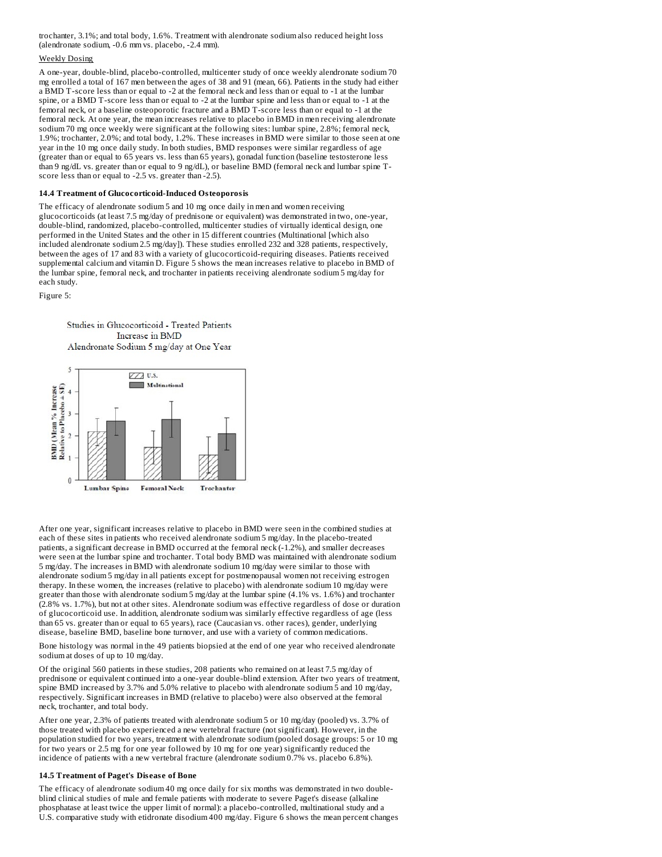trochanter, 3.1%; and total body, 1.6%. Treatment with alendronate sodium also reduced height loss (alendronate sodium, -0.6 mm vs. placebo, -2.4 mm).

### Weekly Dosing

A one-year, double-blind, placebo-controlled, multicenter study of once weekly alendronate sodium 70 mg enrolled a total of 167 men between the ages of 38 and 91 (mean, 66). Patients in the study had either a BMD T-score less than or equal to -2 at the femoral neck and less than or equal to -1 at the lumbar spine, or a BMD T-score less than or equal to -2 at the lumbar spine and less than or equal to -1 at the femoral neck, or a baseline osteoporotic fracture and a BMD T-score less than or equal to -1 at the femoral neck. At one year, the mean increases relative to placebo in BMD in men receiving alendronate sodium 70 mg once weekly were significant at the following sites: lumbar spine, 2.8%; femoral neck, 1.9%; trochanter, 2.0%; and total body, 1.2%. These increases in BMD were similar to those seen at one year in the 10 mg once daily study. In both studies, BMD responses were similar regardless of age (greater than or equal to 65 years vs. less than 65 years), gonadal function (baseline testosterone less than 9 ng/dL vs. greater than or equal to 9 ng/dL), or baseline BMD (femoral neck and lumbar spine Tscore less than or equal to -2.5 vs. greater than -2.5).

#### **14.4 Treatment of Glucocorticoid-Induced Osteoporosis**

The efficacy of alendronate sodium 5 and 10 mg once daily in men and women receiving glucocorticoids (at least 7.5 mg/day of prednisone or equivalent) was demonstrated in two, one-year, double-blind, randomized, placebo-controlled, multicenter studies of virtually identical design, one performed in the United States and the other in 15 different countries (Multinational [which also included alendronate sodium 2.5 mg/day]). These studies enrolled 232 and 328 patients, respectively, between the ages of 17 and 83 with a variety of glucocorticoid-requiring diseases. Patients received supplemental calcium and vitamin D. Figure 5 shows the mean increases relative to placebo in BMD of the lumbar spine, femoral neck, and trochanter in patients receiving alendronate sodium 5 mg/day for each study.

Figure 5:





After one year, significant increases relative to placebo in BMD were seen in the combined studies at each of these sites in patients who received alendronate sodium 5 mg/day. In the placebo-treated patients, a significant decrease in BMD occurred at the femoral neck (-1.2%), and smaller decreases were seen at the lumbar spine and trochanter. Total body BMD was maintained with alendronate sodium 5 mg/day. The increases in BMD with alendronate sodium 10 mg/day were similar to those with alendronate sodium 5 mg/day in all patients except for postmenopausal women not receiving estrogen therapy. In these women, the increases (relative to placebo) with alendronate sodium 10 mg/day were greater than those with alendronate sodium 5 mg/day at the lumbar spine (4.1% vs. 1.6%) and trochanter (2.8% vs. 1.7%), but not at other sites. Alendronate sodium was effective regardless of dose or duration of glucocorticoid use. In addition, alendronate sodium was similarly effective regardless of age (less than 65 vs. greater than or equal to 65 years), race (Caucasian vs. other races), gender, underlying disease, baseline BMD, baseline bone turnover, and use with a variety of common medications.

Bone histology was normal in the 49 patients biopsied at the end of one year who received alendronate sodium at doses of up to 10 mg/day.

Of the original 560 patients in these studies, 208 patients who remained on at least 7.5 mg/day of prednisone or equivalent continued into a one-year double-blind extension. After two years of treatment, spine BMD increased by 3.7% and 5.0% relative to placebo with alendronate sodium 5 and 10 mg/day, respectively. Significant increases in BMD (relative to placebo) were also observed at the femoral neck, trochanter, and total body.

After one year, 2.3% of patients treated with alendronate sodium 5 or 10 mg/day (pooled) vs. 3.7% of those treated with placebo experienced a new vertebral fracture (not significant). However, in the population studied for two years, treatment with alendronate sodium (pooled dosage groups: 5 or 10 mg for two years or 2.5 mg for one year followed by 10 mg for one year) significantly reduced the incidence of patients with a new vertebral fracture (alendronate sodium 0.7% vs. placebo 6.8%).

#### **14.5 Treatment of Paget's Dis eas e of Bone**

The efficacy of alendronate sodium 40 mg once daily for six months was demonstrated in two doubleblind clinical studies of male and female patients with moderate to severe Paget's disease (alkaline phosphatase at least twice the upper limit of normal): a placebo-controlled, multinational study and a U.S. comparative study with etidronate disodium 400 mg/day. Figure 6 shows the mean percent changes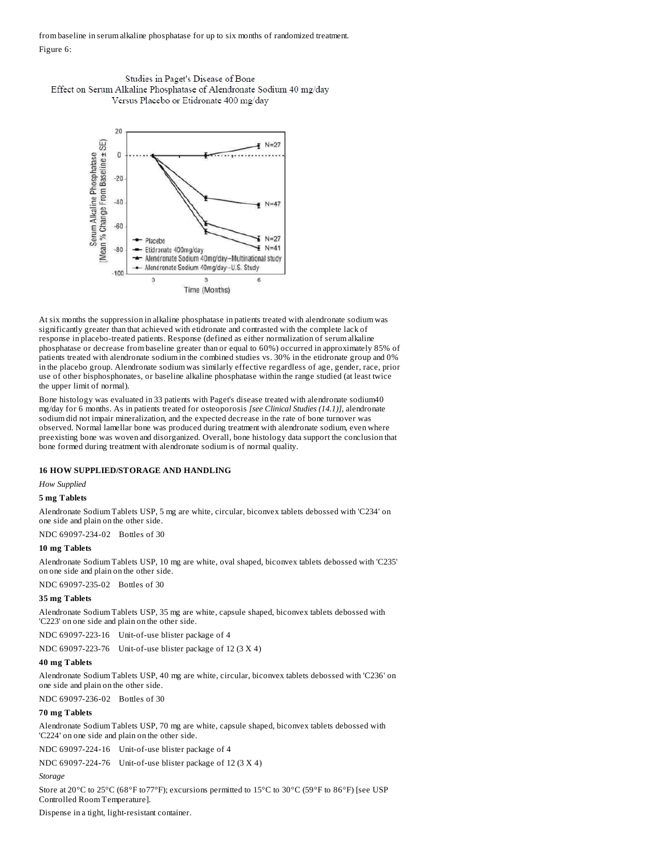from baseline in serum alkaline phosphatase for up to six months of randomized treatment. Figure 6:





At six months the suppression in alkaline phosphatase in patients treated with alendronate sodium was significantly greater than that achieved with etidronate and contrasted with the complete lack of response in placebo-treated patients. Response (defined as either normalization of serum alkaline phosphatase or decrease from baseline greater than or equal to 60%) occurred in approximately 85% of patients treated with alendronate sodium in the combined studies vs. 30% in the etidronate group and 0% in the placebo group. Alendronate sodium was similarly effective regardless of age, gender, race, prior use of other bisphosphonates, or baseline alkaline phosphatase within the range studied (at least twice the upper limit of normal).

Bone histology was evaluated in 33 patients with Paget's disease treated with alendronate sodium40 mg/day for 6 months. As in patients treated for osteoporosis *[see Clinical Studies (14.1)]*, alendronate sodium did not impair mineralization, and the expected decrease in the rate of bone turnover was observed. Normal lamellar bone was produced during treatment with alendronate sodium, even where preexisting bone was woven and disorganized. Overall, bone histology data support the conclusion that bone formed during treatment with alendronate sodium is of normal quality.

### **16 HOW SUPPLIED/STORAGE AND HANDLING**

*How Supplied*

## **5 mg Tablets**

Alendronate Sodium Tablets USP, 5 mg are white, circular, biconvex tablets debossed with 'C234' on one side and plain on the other side.

NDC 69097-234-02 Bottles of 30

## **10 mg Tablets**

Alendronate Sodium Tablets USP, 10 mg are white, oval shaped, biconvex tablets debossed with 'C235' on one side and plain on the other side.

NDC 69097-235-02 Bottles of 30

#### **35 mg Tablets**

Alendronate Sodium Tablets USP, 35 mg are white, capsule shaped, biconvex tablets debossed with 'C223' on one side and plain on the other side.

NDC 69097-223-16 Unit-of-use blister package of 4

NDC 69097-223-76 Unit-of-use blister package of 12 (3 X 4)

### **40 mg Tablets**

Alendronate Sodium Tablets USP, 40 mg are white, circular, biconvex tablets debossed with 'C236' on one side and plain on the other side.

NDC 69097-236-02 Bottles of 30

## **70 mg Tablets**

Alendronate Sodium Tablets USP, 70 mg are white, capsule shaped, biconvex tablets debossed with 'C224' on one side and plain on the other side.

NDC 69097-224-16 Unit-of-use blister package of 4

NDC 69097-224-76 Unit-of-use blister package of 12 (3 X 4)

### *Storage*

Store at 20°C to 25°C (68°F to77°F); excursions permitted to 15°C to 30°C (59°F to 86°F) [see USP Controlled Room Temperature].

Dispense in a tight, light-resistant container.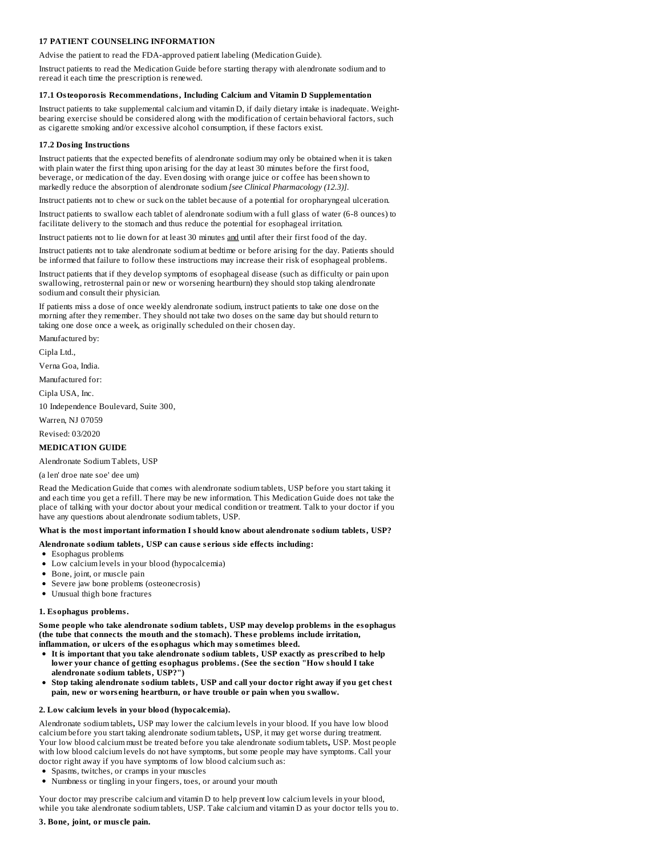## **17 PATIENT COUNSELING INFORMATION**

Advise the patient to read the FDA-approved patient labeling (Medication Guide).

Instruct patients to read the Medication Guide before starting therapy with alendronate sodium and to reread it each time the prescription is renewed.

### **17.1 Osteoporosis Recommendations, Including Calcium and Vitamin D Supplementation**

Instruct patients to take supplemental calcium and vitamin D, if daily dietary intake is inadequate. Weightbearing exercise should be considered along with the modification of certain behavioral factors, such as cigarette smoking and/or excessive alcohol consumption, if these factors exist.

### **17.2 Dosing Instructions**

Instruct patients that the expected benefits of alendronate sodium may only be obtained when it is taken with plain water the first thing upon arising for the day at least 30 minutes before the first food, beverage, or medication of the day. Even dosing with orange juice or coffee has been shown to markedly reduce the absorption of alendronate sodium *[see Clinical Pharmacology (12.3)]*.

Instruct patients not to chew or suck on the tablet because of a potential for oropharyngeal ulceration.

Instruct patients to swallow each tablet of alendronate sodium with a full glass of water (6-8 ounces) to facilitate delivery to the stomach and thus reduce the potential for esophageal irritation.

Instruct patients not to lie down for at least 30 minutes and until after their first food of the day.

Instruct patients not to take alendronate sodium at bedtime or before arising for the day. Patients should be informed that failure to follow these instructions may increase their risk of esophageal problems.

Instruct patients that if they develop symptoms of esophageal disease (such as difficulty or pain upon swallowing, retrosternal pain or new or worsening heartburn) they should stop taking alendronate sodium and consult their physician.

If patients miss a dose of once weekly alendronate sodium, instruct patients to take one dose on the morning after they remember. They should not take two doses on the same day but should return to taking one dose once a week, as originally scheduled on their chosen day.

Manufactured by:

Cipla Ltd.,

Verna Goa, India.

Manufactured for:

Cipla USA, Inc.

10 Independence Boulevard, Suite 300,

Warren, NJ 07059

Revised: 03/2020

### **MEDICATION GUIDE**

Alendronate Sodium Tablets, USP

(a len' droe nate soe' dee um)

Read the Medication Guide that comes with alendronate sodium tablets, USP before you start taking it and each time you get a refill. There may be new information. This Medication Guide does not take the place of talking with your doctor about your medical condition or treatment. Talk to your doctor if you have any questions about alendronate sodium tablets, USP.

### **What is the most important information I should know about alendronate sodium tablets, USP?**

## **Alendronate sodium tablets, USP can caus e s erious side effects including:**

- Esophagus problems
- Low calcium levels in your blood (hypocalcemia)
- Bone, joint, or muscle pain
- Severe jaw bone problems (osteonecrosis)
- Unusual thigh bone fractures

### **1. Esophagus problems.**

**Some people who take alendronate sodium tablets, USP may develop problems in the esophagus (the tube that connects the mouth and the stomach). Thes e problems include irritation, inflammation, or ulcers of the esophagus which may sometimes bleed.**

- **It is important that you take alendronate sodium tablets, USP exactly as pres cribed to help lower your chance of getting esophagus problems. (See the s ection "How should I take alendronate sodium tablets, USP?")**
- **Stop taking alendronate sodium tablets, USP and call your doctor right away if you get chest pain, new or wors ening heartburn, or have trouble or pain when you swallow.**

#### **2. Low calcium levels in your blood (hypocalcemia).**

Alendronate sodium tablets**,** USP may lower the calcium levels in your blood. If you have low blood calcium before you start taking alendronate sodium tablets**,** USP, it may get worse during treatment. Your low blood calcium must be treated before you take alendronate sodium tablets**,** USP. Most people with low blood calcium levels do not have symptoms, but some people may have symptoms. Call your doctor right away if you have symptoms of low blood calcium such as:

- Spasms, twitches, or cramps in your muscles
- Numbness or tingling in your fingers, toes, or around your mouth

Your doctor may prescribe calcium and vitamin D to help prevent low calcium levels in your blood, while you take alendronate sodium tablets, USP. Take calcium and vitamin D as your doctor tells you to.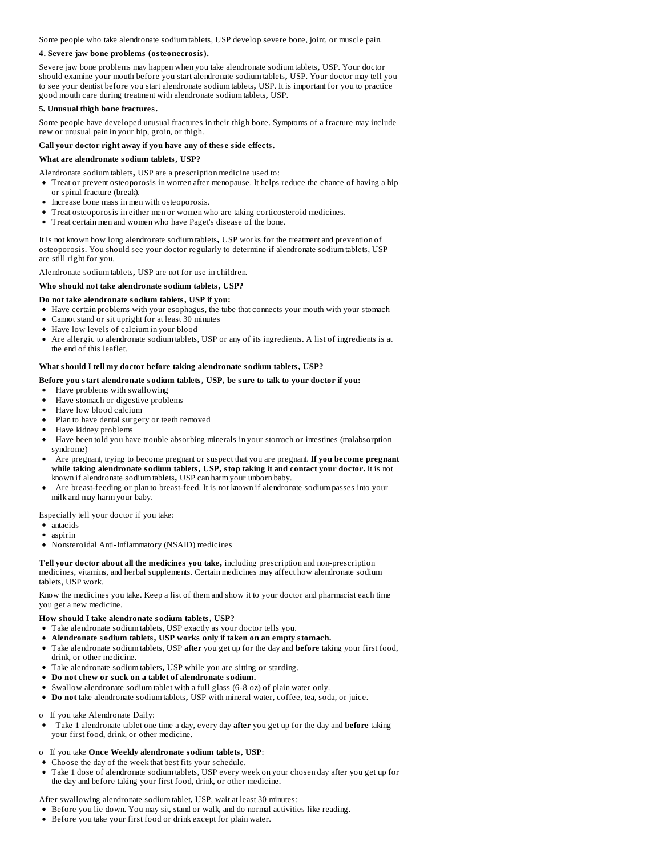Some people who take alendronate sodium tablets, USP develop severe bone, joint, or muscle pain.

### **4. Severe jaw bone problems (osteonecrosis).**

Severe jaw bone problems may happen when you take alendronate sodium tablets**,** USP. Your doctor should examine your mouth before you start alendronate sodium tablets**,** USP. Your doctor may tell you to see your dentist before you start alendronate sodium tablets**,** USP. It is important for you to practice good mouth care during treatment with alendronate sodium tablets**,** USP.

### **5. Unusual thigh bone fractures.**

Some people have developed unusual fractures in their thigh bone. Symptoms of a fracture may include new or unusual pain in your hip, groin, or thigh.

### **Call your doctor right away if you have any of thes e side effects.**

### **What are alendronate sodium tablets, USP?**

Alendronate sodium tablets**,** USP are a prescription medicine used to:

- Treat or prevent osteoporosis in women after menopause. It helps reduce the chance of having a hip or spinal fracture (break).
- Increase bone mass in men with osteoporosis.
- Treat osteoporosis in either men or women who are taking corticosteroid medicines.
- Treat certain men and women who have Paget's disease of the bone.

It is not known how long alendronate sodium tablets**,** USP works for the treatment and prevention of osteoporosis. You should see your doctor regularly to determine if alendronate sodium tablets, USP are still right for you.

Alendronate sodium tablets**,** USP are not for use in children.

### **Who should not take alendronate sodium tablets, USP?**

### **Do not take alendronate sodium tablets, USP if you:**

- Have certain problems with your esophagus, the tube that connects your mouth with your stomach
- Cannot stand or sit upright for at least 30 minutes
- Have low levels of calcium in your blood
- Are allergic to alendronate sodium tablets, USP or any of its ingredients. A list of ingredients is at the end of this leaflet.

### **What should I tell my doctor before taking alendronate sodium tablets, USP?**

### **Before you start alendronate sodium tablets, USP, be sure to talk to your doctor if you:**

- Have problems with swallowing
- Have stomach or digestive problems
- Have low blood calcium
- Plan to have dental surgery or teeth removed
- Have kidney problems
- Have been told you have trouble absorbing minerals in your stomach or intestines (malabsorption syndrome)
- Are pregnant, trying to become pregnant or suspect that you are pregnant. **If you become pregnant while taking alendronate sodium tablets, USP, stop taking it and contact your doctor.** It is not known if alendronate sodium tablets**,** USP can harm your unborn baby.
- Are breast-feeding or plan to breast-feed. It is not known if alendronate sodium passes into your milk and may harm your baby.

Especially tell your doctor if you take:

- antacids
- aspirin
- Nonsteroidal Anti-Inflammatory (NSAID) medicines

**Tell your doctor about all the medicines you take,** including prescription and non-prescription medicines, vitamins, and herbal supplements. Certain medicines may affect how alendronate sodium tablets, USP work.

Know the medicines you take. Keep a list of them and show it to your doctor and pharmacist each time you get a new medicine.

#### **How should I take alendronate sodium tablets, USP?**

- Take alendronate sodium tablets, USP exactly as your doctor tells you.
- **Alendronate sodium tablets, USP works only if taken on an empty stomach.**
- Take alendronate sodium tablets, USP **after** you get up for the day and **before** taking your first food, drink, or other medicine.
- Take alendronate sodium tablets**,** USP while you are sitting or standing.
- **Do not chew or suck on a tablet of alendronate sodium.**
- Swallow alendronate sodium tablet with a full glass (6-8 oz) of plain water only.
- **Do not** take alendronate sodium tablets**,** USP with mineral water, coffee, tea, soda, or juice.

o If you take Alendronate Daily:

- Take 1 alendronate tablet one time a day, every day **after** you get up for the day and **before** taking your first food, drink, or other medicine.
- o If you take **Once Weekly alendronate sodium tablets, USP**:
- Choose the day of the week that best fits your schedule.
- Take 1 dose of alendronate sodium tablets, USP every week on your chosen day after you get up for the day and before taking your first food, drink, or other medicine.

After swallowing alendronate sodium tablet**,** USP, wait at least 30 minutes:

- Before you lie down. You may sit, stand or walk, and do normal activities like reading.
- Before you take your first food or drink except for plain water.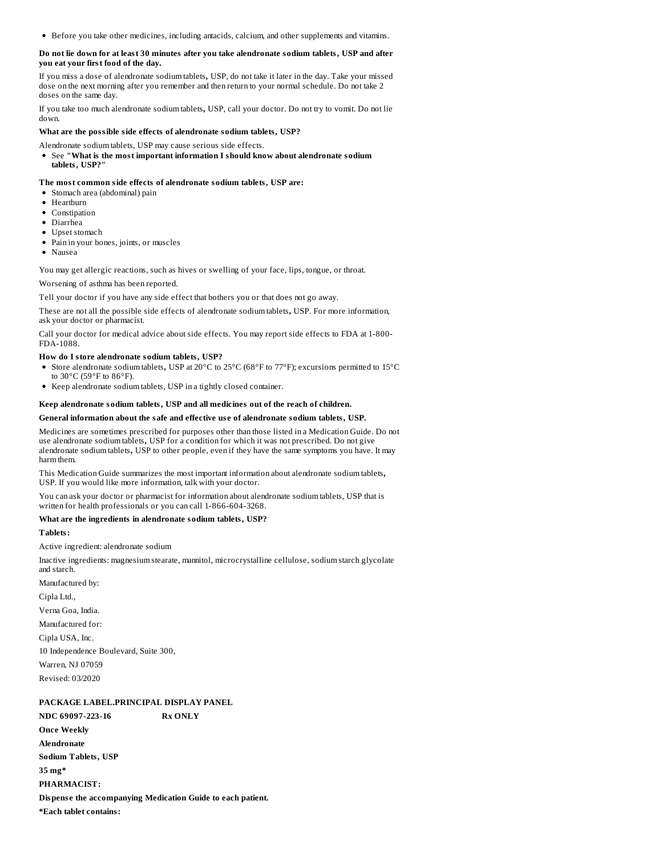Before you take other medicines, including antacids, calcium, and other supplements and vitamins.

### **Do not lie down for at least 30 minutes after you take alendronate sodium tablets, USP and after you eat your first food of the day.**

If you miss a dose of alendronate sodium tablets**,** USP, do not take it later in the day. Take your missed dose on the next morning after you remember and then return to your normal schedule. Do not take 2 doses on the same day.

If you take too much alendronate sodium tablets**,** USP, call your doctor. Do not try to vomit. Do not lie down.

### **What are the possible side effects of alendronate sodium tablets, USP?**

Alendronate sodium tablets, USP may cause serious side effects.

See **"What is the most important information I should know about alendronate sodium tablets, USP?"**

### **The most common side effects of alendronate sodium tablets, USP are:**

- Stomach area (abdominal) pain
- Heartburn
- Constination
- Diarrhea
- Upset stomach
- Pain in your bones, joints, or muscles
- Nausea

You may get allergic reactions, such as hives or swelling of your face, lips, tongue, or throat.

Worsening of asthma has been reported.

Tell your doctor if you have any side effect that bothers you or that does not go away.

These are not all the possible side effects of alendronate sodium tablets**,** USP. For more information, ask your doctor or pharmacist.

Call your doctor for medical advice about side effects. You may report side effects to FDA at 1-800- FDA-1088.

### **How do I store alendronate sodium tablets, USP?**

- Store alendronate sodium tablets**,** USP at 20°C to 25°C (68°F to 77°F); excursions permitted to 15°C
- to 30°C (59°F to 86°F). Keep alendronate sodium tablets, USP in a tightly closed container.

### **Keep alendronate sodium tablets, USP and all medicines out of the reach of children.**

### **General information about the safe and effective us e of alendronate sodium tablets, USP.**

Medicines are sometimes prescribed for purposes other than those listed in a Medication Guide. Do not use alendronate sodium tablets**,** USP for a condition for which it was not prescribed. Do not give alendronate sodium tablets**,** USP to other people, even if they have the same symptoms you have. It may harm them.

This Medication Guide summarizes the most important information about alendronate sodium tablets**,** USP. If you would like more information, talk with your doctor.

You can ask your doctor or pharmacist for information about alendronate sodium tablets, USP that is written for health professionals or you can call 1-866-604-3268.

### **What are the ingredients in alendronate sodium tablets, USP?**

### **Tablets:**

Active ingredient: alendronate sodium

Inactive ingredients: magnesium stearate, mannitol, microcrystalline cellulose, sodium starch glycolate and starch.

Manufactured by:

Cipla Ltd.,

Verna Goa, India.

Manufactured for:

Cipla USA, Inc.

10 Independence Boulevard, Suite 300,

Warren, NJ 07059

Revised: 03/2020

## **PACKAGE LABEL.PRINCIPAL DISPLAY PANEL**

**NDC 69097-223-16 Rx ONLY Once Weekly Alendronate Sodium Tablets, USP 35 mg\* PHARMACIST: Dispens e the accompanying Medication Guide to each patient. \*Each tablet contains:**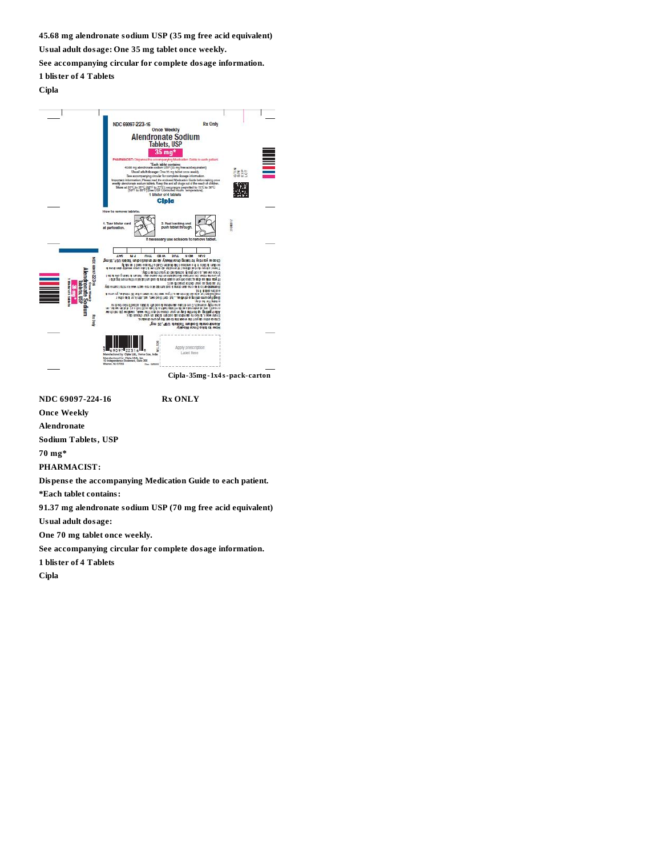**45.68 mg alendronate sodium USP (35 mg free acid equivalent)**

**Usual adult dosage: One 35 mg tablet once weekly.**

**See accompanying circular for complete dosage information.**

**1 blister of 4 Tablets**

## **Cipla**



**NDC 69097-224-16 Rx ONLY**

**Once Weekly**

**Alendronate**

**Sodium Tablets, USP**

**70 mg\***

**PHARMACIST:**

**Dispens e the accompanying Medication Guide to each patient.**

**\*Each tablet contains:**

**91.37 mg alendronate sodium USP (70 mg free acid equivalent)**

**Usual adult dosage:**

**One 70 mg tablet once weekly.**

**See accompanying circular for complete dosage information.**

**1 blister of 4 Tablets**

**Cipla**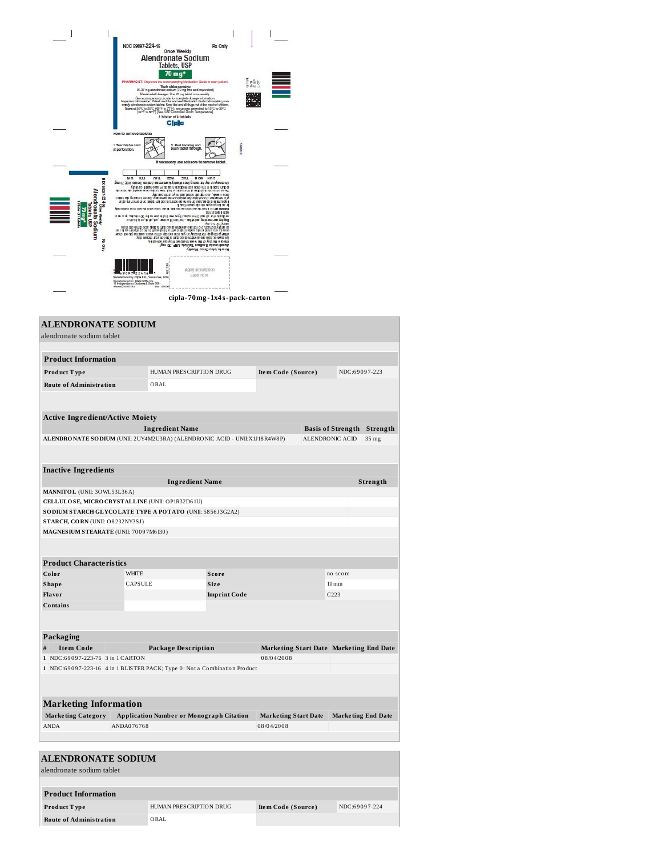|                                   | NDC 69097-224-16<br><b>Rx Only</b>                                                                                                                                                                                                                                              |                                               |  |
|-----------------------------------|---------------------------------------------------------------------------------------------------------------------------------------------------------------------------------------------------------------------------------------------------------------------------------|-----------------------------------------------|--|
|                                   | <b>Once Weekly</b><br><b>Alendronate Sodium</b>                                                                                                                                                                                                                                 |                                               |  |
|                                   | <b>Tablets, USP</b>                                                                                                                                                                                                                                                             |                                               |  |
|                                   |                                                                                                                                                                                                                                                                                 |                                               |  |
|                                   | PHARMACIST: Disponse the accompanying Medication Guide to each patient.<br>"Each tablet contains:                                                                                                                                                                               | $\frac{1}{2} \sum_{n=0}^{\infty} \frac{1}{n}$ |  |
|                                   | 01.37 mg alendronate aodium (70 mg ime and equivalent)<br>Usual adult doesge: Dre 70 mg tablet once weekly.                                                                                                                                                                     |                                               |  |
|                                   | See accompanying circular for complete dosage information.<br>Important information: Measo mad the endored Medication Cude below busing once<br>weekly stendings to column tablets. Keep this and all drugs out of the result of chi                                            |                                               |  |
|                                   | Store at 20°C to 25°C (60°F to 77°F); excursions permitted to 15°C to 30°C<br>[50°F to 86°F) [See USP Controlled Room Temperature].                                                                                                                                             |                                               |  |
|                                   | 1 bilister of 4 tablets                                                                                                                                                                                                                                                         |                                               |  |
|                                   | Clota                                                                                                                                                                                                                                                                           |                                               |  |
|                                   | How to remove tablets:                                                                                                                                                                                                                                                          |                                               |  |
|                                   | 1. Tear bilster card<br>2. Pool backing and<br>push tablet through.                                                                                                                                                                                                             |                                               |  |
|                                   | at perforation.                                                                                                                                                                                                                                                                 | 21092113                                      |  |
|                                   | If necessary use scissors to remove tablet.                                                                                                                                                                                                                                     |                                               |  |
|                                   |                                                                                                                                                                                                                                                                                 |                                               |  |
|                                   | <b>MS</b><br><b>IH<sub>3</sub></b><br><b>OHL</b><br>CFW<br><b>JUE</b><br>NON NOS<br>"pen o'i ,920 <i>ed del mal to è de ren bro la visioni N e an</i> la printita i yabitu que an espe                                                                                          |                                               |  |
| <b>NDC 69207-22416</b>            | o dann i titler in the ance to sed historic to date in a state and the careful y<br>the restor als video w spore edition work head is materially to mothe best mino opinion on                                                                                                  |                                               |  |
| Alei                              | מותכים בו האפשר, מופרס הקומו משל מכלומים נוספים כמו yalta ממולדות למקור.<br>יום עם המולדות המולדות במקור לאחר לאחר ממולדות המולדות המולדות המולדות המולדות המולדות המולדות מולדות למולדות<br>T you miss a dose, hake on yone air trouble and unit at on in part on the air of I |                                               |  |
|                                   | a see upseud ups on rows to up se up<br>your bank to bike one also can be sort and the bill may be also account of the free of the                                                                                                                                              |                                               |  |
| <b>Distance of 4 to</b><br>apiers | 193119 1000 10 1309<br>ίε υπι ω οχ. μαί υπίση ΟΕ τια έρα καλο οι ίορεί σαν μοχή ! αρ τια ίστο Είνα με το ίστο άλου από τ                                                                                                                                                        |                                               |  |
|                                   | Bighty are morning activities. In thorities down, and, of its, or a selector<br>Ame u nu fusure<br>and any structure of the state in the control and a state at the control of order                                                                                            |                                               |  |
|                                   | ma, a daw mas gho (sios of 3) aan by fut a ritwin tastim utoo e aan a brais who (se umo<br>water to not the three plans is now and to you can be a few your cover of the plant of the plant                                                                                     |                                               |  |
| <b>Rix Only</b>                   | Bis ny no arithme and at arthred at each during the true your channel day.<br>cho care the day of the week matheast fitsy our schedule.<br>Tendromas Sodium Tablets USP, 7 mg                                                                                                   |                                               |  |
|                                   | Автоом осно оже сам он                                                                                                                                                                                                                                                          |                                               |  |
|                                   |                                                                                                                                                                                                                                                                                 |                                               |  |
|                                   | Apply prescription                                                                                                                                                                                                                                                              |                                               |  |
|                                   | 9097<br>241<br>Label Hare<br>Manufactured by: Cipia Ltd., Verna Gos, Inda                                                                                                                                                                                                       |                                               |  |
|                                   | Manufactured for Cipia USA, Inc.<br>10 Independence Boulevard, Suite 300<br>Warren, NJ 07059<br>Rev. 35000                                                                                                                                                                      |                                               |  |
|                                   |                                                                                                                                                                                                                                                                                 |                                               |  |
|                                   | cipla-70mg-1x4s-pack-carton                                                                                                                                                                                                                                                     |                                               |  |

| <b>ALENDRONATE SODIUM</b><br>alendronate sodium tablet                     |  |                |                                                 |                     |                                         |                 |                           |          |
|----------------------------------------------------------------------------|--|----------------|-------------------------------------------------|---------------------|-----------------------------------------|-----------------|---------------------------|----------|
|                                                                            |  |                |                                                 |                     |                                         |                 |                           |          |
|                                                                            |  |                |                                                 |                     |                                         |                 |                           |          |
| <b>Product Information</b>                                                 |  |                |                                                 |                     |                                         |                 |                           |          |
| Product Type                                                               |  |                | HUMAN PRESCRIPTION DRUG                         |                     | <b>Item Code (Source)</b>               |                 | NDC:69097-223             |          |
| <b>Route of Administration</b>                                             |  |                | ORAL                                            |                     |                                         |                 |                           |          |
|                                                                            |  |                |                                                 |                     |                                         |                 |                           |          |
| <b>Active Ingredient/Active Moiety</b>                                     |  |                |                                                 |                     |                                         |                 |                           |          |
|                                                                            |  |                | <b>Ingredient Name</b>                          |                     |                                         |                 | <b>Basis of Strength</b>  | Strength |
| ALENDRONATE SO DIUM (UNII: 2UY4M2U3RA) (ALENDRONIC ACID - UNII:X1J18R4W8P) |  |                |                                                 |                     |                                         | ALENDRONIC ACID |                           | 35 mg    |
|                                                                            |  |                |                                                 |                     |                                         |                 |                           |          |
| <b>Inactive Ingredients</b>                                                |  |                | <b>Ingredient Name</b>                          |                     |                                         |                 |                           | Strength |
| MANNITOL (UNII: 30WL53L36A)                                                |  |                |                                                 |                     |                                         |                 |                           |          |
| CELLULOSE, MICRO CRYSTALLINE (UNII: OP1R32D61U)                            |  |                |                                                 |                     |                                         |                 |                           |          |
| SO DIUM STARCH GLYCOLATE TYPE A POTATO (UNII: 5856J3G2A2)                  |  |                |                                                 |                     |                                         |                 |                           |          |
| STARCH, CORN (UNII: O8232NY3SJ)                                            |  |                |                                                 |                     |                                         |                 |                           |          |
| MAGNES IUM STEARATE (UNII: 70097M6130)                                     |  |                |                                                 |                     |                                         |                 |                           |          |
|                                                                            |  |                |                                                 |                     |                                         |                 |                           |          |
| <b>Product Characteristics</b>                                             |  |                |                                                 |                     |                                         |                 |                           |          |
| Color                                                                      |  | <b>WHITE</b>   |                                                 | Score               |                                         |                 | no score                  |          |
| <b>Shape</b>                                                               |  | <b>CAPSULE</b> |                                                 | Size                |                                         |                 | $10 \,\mathrm{mm}$        |          |
| Flavor                                                                     |  |                |                                                 | <b>Imprint Code</b> |                                         |                 | C <sub>223</sub>          |          |
| <b>Contains</b>                                                            |  |                |                                                 |                     |                                         |                 |                           |          |
|                                                                            |  |                |                                                 |                     |                                         |                 |                           |          |
| Packaging                                                                  |  |                |                                                 |                     |                                         |                 |                           |          |
| <b>Item Code</b><br>#                                                      |  |                | <b>Package Description</b>                      |                     | Marketing Start Date Marketing End Date |                 |                           |          |
| 1 NDC:69097-223-76 3 in 1 CARTON                                           |  |                |                                                 |                     | 08/04/2008                              |                 |                           |          |
| 1 NDC:69097-223-16 4 in 1 BLISTER PACK; Type 0: Not a Combination Product  |  |                |                                                 |                     |                                         |                 |                           |          |
|                                                                            |  |                |                                                 |                     |                                         |                 |                           |          |
| <b>Marketing Information</b>                                               |  |                |                                                 |                     |                                         |                 |                           |          |
| <b>Marketing Category</b>                                                  |  |                | <b>Application Number or Monograph Citation</b> |                     | <b>Marketing Start Date</b>             |                 | <b>Marketing End Date</b> |          |
| <b>ANDA</b>                                                                |  | ANDA076768     |                                                 |                     | 08/04/2008                              |                 |                           |          |
| <b>ALENDRONATE SODIUM</b>                                                  |  |                |                                                 |                     |                                         |                 |                           |          |
| alendronate sodium tablet                                                  |  |                |                                                 |                     |                                         |                 |                           |          |
| <b>Product Information</b>                                                 |  |                |                                                 |                     |                                         |                 |                           |          |
| Product Type                                                               |  |                | HUMAN PRESCRIPTION DRUG                         |                     | <b>Item Code (Source)</b>               |                 | NDC:69097-224             |          |
| <b>Route of Administration</b>                                             |  |                | ORAL                                            |                     |                                         |                 |                           |          |